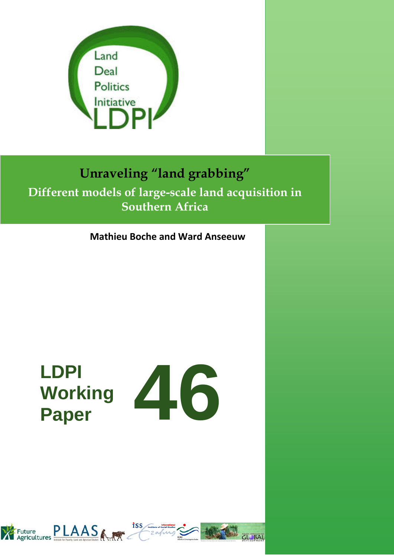

## **Unraveling "land grabbing" Different models of large-scale land acquisition in Southern Africa**

**Mathieu Boche and Ward Anseeuw**

# **LDPI Working**



**CL BAL** 

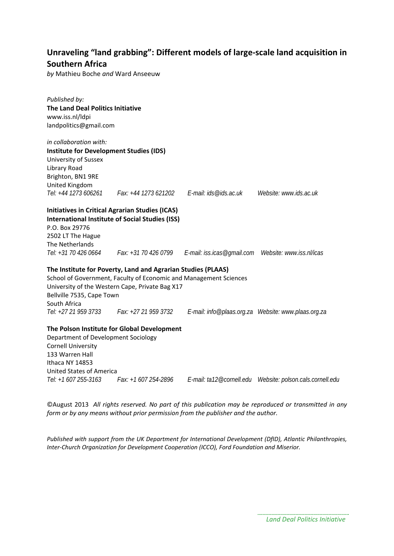## **Unraveling "land grabbing": Different models of large-scale land acquisition in Southern Africa**

*by* Mathieu Boche *and* Ward Anseeuw

*Published by:* **The Land Deal Politics Initiative** www.iss.nl/ldpi landpolitics@gmail.com *in collaboration with:*  **Institute for Development Studies (IDS)** University of Sussex Library Road Brighton, BN1 9RE United Kingdom *Tel: +44 1273 606261 Fax: +44 1273 621202 E-mail: ids@ids.ac.uk Website: www.ids.ac.uk* **Initiatives in Critical Agrarian Studies (ICAS) International Institute of Social Studies (ISS)** P.O. Box 29776 2502 LT The Hague The Netherlands *Tel: +31 70 426 0664 Fax: +31 70 426 0799 E-mail: iss.icas@gmail.com Website: www.iss.nl/icas* **The Institute for Poverty, Land and Agrarian Studies (PLAAS)** School of Government, Faculty of Economic and Management Sciences University of the Western Cape, Private Bag X17 Bellville 7535, Cape Town South Africa *Tel: +27 21 959 3733 Fax: +27 21 959 3732 E-mail: info@plaas.org.za Website: www.plaas.org.za* **The Polson Institute for Global Development** Department of Development Sociology Cornell University 133 Warren Hall Ithaca NY 14853 United States of America

*Tel: +1 607 255-3163 Fax: +1 607 254-2896 E-mail: ta12@cornell.edu Website: polson.cals.cornell.edu*

©August 2013 *All rights reserved. No part of this publication may be reproduced or transmitted in any form or by any means without prior permission from the publisher and the author.*

*Published with support from the UK Department for International Development (DfID), Atlantic Philanthropies, Inter-Church Organization for Development Cooperation (ICCO), Ford Foundation and Miserior.*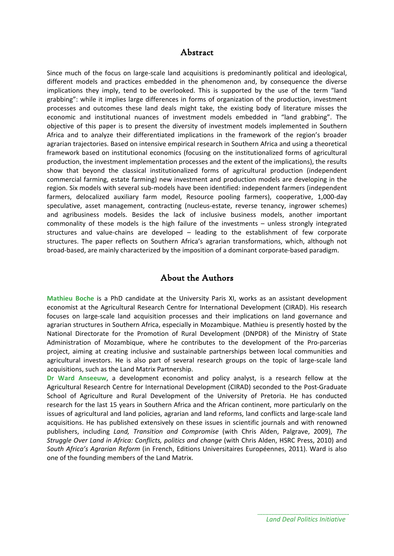## Abstract

Since much of the focus on large-scale land acquisitions is predominantly political and ideological, different models and practices embedded in the phenomenon and, by consequence the diverse implications they imply, tend to be overlooked. This is supported by the use of the term "land grabbing": while it implies large differences in forms of organization of the production, investment processes and outcomes these land deals might take, the existing body of literature misses the economic and institutional nuances of investment models embedded in "land grabbing". The objective of this paper is to present the diversity of investment models implemented in Southern Africa and to analyze their differentiated implications in the framework of the region's broader agrarian trajectories. Based on intensive empirical research in Southern Africa and using a theoretical framework based on institutional economics (focusing on the institutionalized forms of agricultural production, the investment implementation processes and the extent of the implications), the results show that beyond the classical institutionalized forms of agricultural production (independent commercial farming, estate farming) new investment and production models are developing in the region. Six models with several sub-models have been identified: independent farmers (independent farmers, delocalized auxiliary farm model, Resource pooling farmers), cooperative, 1,000-day speculative, asset management, contracting (nucleus-estate, reverse tenancy, ingrower schemes) and agribusiness models. Besides the lack of inclusive business models, another important commonality of these models is the high failure of the investments – unless strongly integrated structures and value-chains are developed – leading to the establishment of few corporate structures. The paper reflects on Southern Africa's agrarian transformations, which, although not broad-based, are mainly characterized by the imposition of a dominant corporate-based paradigm.

## About the Authors

**Mathieu Boche** is a PhD candidate at the University Paris XI, works as an assistant development economist at the Agricultural Research Centre for International Development (CIRAD). His research focuses on large-scale land acquisition processes and their implications on land governance and agrarian structures in Southern Africa, especially in Mozambique. Mathieu is presently hosted by the National Directorate for the Promotion of Rural Development (DNPDR) of the Ministry of State Administration of Mozambique, where he contributes to the development of the Pro-parcerias project, aiming at creating inclusive and sustainable partnerships between local communities and agricultural investors. He is also part of several research groups on the topic of large-scale land acquisitions, such as the Land Matrix Partnership.

**Dr Ward Anseeuw**, a development economist and policy analyst, is a research fellow at the Agricultural Research Centre for International Development (CIRAD) seconded to the Post-Graduate School of Agriculture and Rural Development of the University of Pretoria. He has conducted research for the last 15 years in Southern Africa and the African continent, more particularly on the issues of agricultural and land policies, agrarian and land reforms, land conflicts and large-scale land acquisitions. He has published extensively on these issues in scientific journals and with renowned publishers, including *Land, Transition and Compromise* (with Chris Alden, Palgrave, 2009), *The Struggle Over Land in Africa: Conflicts, politics and change* (with Chris Alden, HSRC Press, 2010) and *South Africa's Agrarian Reform* (in French, Editions Universitaires Européennes, 2011). Ward is also one of the founding members of the Land Matrix.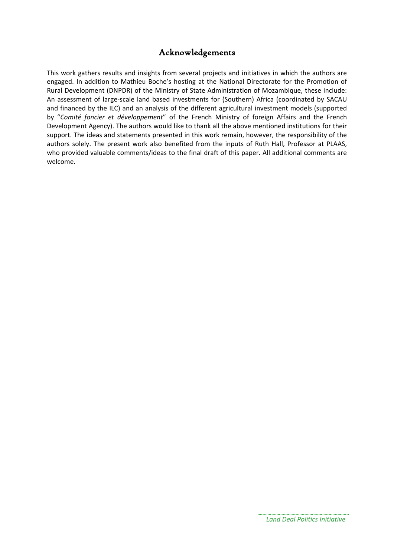## Acknowledgements

This work gathers results and insights from several projects and initiatives in which the authors are engaged. In addition to Mathieu Boche's hosting at the National Directorate for the Promotion of Rural Development (DNPDR) of the Ministry of State Administration of Mozambique, these include: An assessment of large-scale land based investments for (Southern) Africa (coordinated by SACAU and financed by the ILC) and an analysis of the different agricultural investment models (supported by "*Comité foncier et développement*" of the French Ministry of foreign Affairs and the French Development Agency). The authors would like to thank all the above mentioned institutions for their support. The ideas and statements presented in this work remain, however, the responsibility of the authors solely. The present work also benefited from the inputs of Ruth Hall, Professor at PLAAS, who provided valuable comments/ideas to the final draft of this paper. All additional comments are welcome.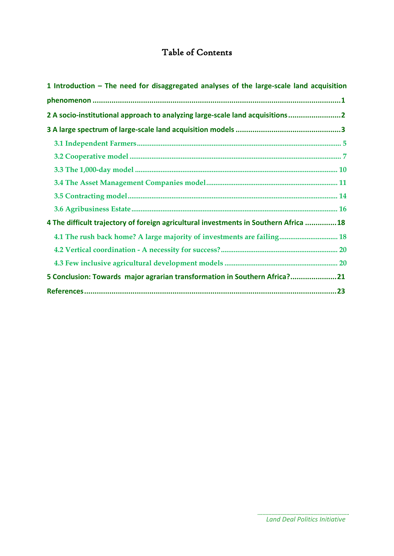## Table of Contents

| 1 Introduction - The need for disaggregated analyses of the large-scale land acquisition |  |
|------------------------------------------------------------------------------------------|--|
|                                                                                          |  |
| 2 A socio-institutional approach to analyzing large-scale land acquisitions2             |  |
|                                                                                          |  |
|                                                                                          |  |
|                                                                                          |  |
|                                                                                          |  |
|                                                                                          |  |
|                                                                                          |  |
|                                                                                          |  |
| 4 The difficult trajectory of foreign agricultural investments in Southern Africa 18     |  |
| 4.1 The rush back home? A large majority of investments are failing 18                   |  |
|                                                                                          |  |
|                                                                                          |  |
| 5 Conclusion: Towards major agrarian transformation in Southern Africa?21                |  |
|                                                                                          |  |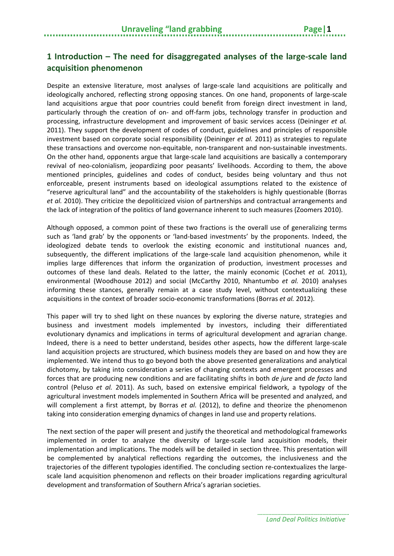## <span id="page-6-0"></span>**1 Introduction – The need for disaggregated analyses of the large-scale land acquisition phenomenon**

Despite an extensive literature, most analyses of large-scale land acquisitions are politically and ideologically anchored, reflecting strong opposing stances. On one hand, proponents of large-scale land acquisitions argue that poor countries could benefit from foreign direct investment in land, particularly through the creation of on- and off-farm jobs, technology transfer in production and processing, infrastructure development and improvement of basic services access [\(Deininger](#page-29-0) *et al.* [2011\)](#page-29-0). They support the development of codes of conduct, guidelines and principles of responsible investment based on corporate social responsibility [\(Deininger](#page-29-0) *et al.* 2011) as strategies to regulate these transactions and overcome non-equitable, non-transparent and non-sustainable investments. On the other hand, opponents argue that large-scale land acquisitions are basically a contemporary revival of neo-colonialism, jeopardizing poor peasants' livelihoods. According to them, the above mentioned principles, guidelines and codes of conduct, besides being voluntary and thus not enforceable, present instruments based on ideological assumptions related to the existence of "reserve agricultural land" and the accountability of the stakeholders is highly questionable [\(Borras](#page-28-1) *et al.* [2010\)](#page-28-1). They criticize the depoliticized vision of partnerships and contractual arrangements and the lack of integration of the politics of land governance inherent to such measures [\(Zoomers 2010\)](#page-30-0).

Although opposed, a common point of these two fractions is the overall use of generalizing terms such as 'land grab' by the opponents or 'land-based investments' by the proponents. Indeed, the ideologized debate tends to overlook the existing economic and institutional nuances and, subsequently, the different implications of the large-scale land acquisition phenomenon, while it implies large differences that inform the organization of production, investment processes and outcomes of these land deals. Related to the latter, the mainly economic [\(Cochet](#page-29-1) *et al.* 2011), environmental [\(Woodhouse 2012\)](#page-30-1) and social [\(McCarthy 2010,](#page-30-2) [Nhantumbo](#page-30-3) *et al.* 2010) analyses informing these stances, generally remain at a case study level, without contextualizing these acquisitions in the context of broader socio-economic transformations [\(Borras](#page-28-2) *et al.* 2012).

This paper will try to shed light on these nuances by exploring the diverse nature, strategies and business and investment models implemented by investors, including their differentiated evolutionary dynamics and implications in terms of agricultural development and agrarian change. Indeed, there is a need to better understand, besides other aspects, how the different large-scale land acquisition projects are structured, which business models they are based on and how they are implemented. We intend thus to go beyond both the above presented generalizations and analytical dichotomy, by taking into consideration a series of changing contexts and emergent processes and forces that are producing new conditions and are facilitating shifts in both *de jure* and *de facto* land control [\(Peluso](#page-30-4) *et al.* 2011). As such, based on extensive empirical fieldwork, a typology of the agricultural investment models implemented in Southern Africa will be presented and analyzed, and will complement a first attempt, by [Borras](#page-28-2) *et al.* (2012), to define and theorize the phenomenon taking into consideration emerging dynamics of changes in land use and property relations.

The next section of the paper will present and justify the theoretical and methodological frameworks implemented in order to analyze the diversity of large-scale land acquisition models, their implementation and implications. The models will be detailed in section three. This presentation will be complemented by analytical reflections regarding the outcomes, the inclusiveness and the trajectories of the different typologies identified. The concluding section re-contextualizes the largescale land acquisition phenomenon and reflects on their broader implications regarding agricultural development and transformation of Southern Africa's agrarian societies.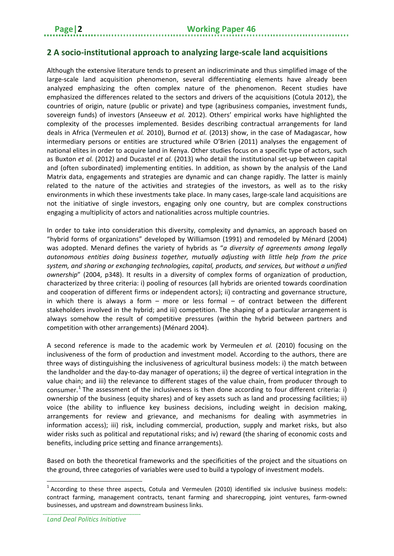## <span id="page-7-0"></span>**2 A socio-institutional approach to analyzing large-scale land acquisitions**

Although the extensive literature tends to present an indiscriminate and thus simplified image of the large-scale land acquisition phenomenon, several differentiating elements have already been analyzed emphasizing the often complex nature of the phenomenon. Recent studies have emphasized the differences related to the sectors and drivers of the acquisitions [\(Cotula 2012\)](#page-29-2), the countries of origin, nature (public or private) and type (agribusiness companies, investment funds, sovereign funds) of investors [\(Anseeuw](#page-28-3) *et al.* 2012). Others' empirical works have highlighted the complexity of the processes implemented. Besides describing contractual arrangements for land deals in Africa [\(Vermeulen](#page-30-5) *et al.* 2010), [Burnod](#page-29-3) *et al.* (2013) show, in the case of Madagascar, how intermediary persons or entities are structured while [O'Brien \(2011\)](#page-30-6) analyses the engagement of national elites in order to acquire land in Kenya. Other studies focus on a specific type of actors, such as [Buxton](#page-29-4) *et al.* (2012) and [Ducastel](#page-29-5) *et al.* (2013) who detail the institutional set-up between capital and (often subordinated) implementing entities. In addition, as shown by the analysis of the Land Matrix data, engagements and strategies are dynamic and can change rapidly. The latter is mainly related to the nature of the activities and strategies of the investors, as well as to the risky environments in which these investments take place. In many cases, large-scale land acquisitions are not the initiative of single investors, engaging only one country, but are complex constructions engaging a multiplicity of actors and nationalities across multiple countries.

In order to take into consideration this diversity, complexity and dynamics, an approach based on "hybrid forms of organizations" developed by [Williamson \(1991\)](#page-30-7) and remodeled by [Ménard \(2004\)](#page-30-8) was adopted. Menard defines the variety of hybrids as "*a diversity of agreements among legally autonomous entities doing business together, mutually adjusting with little help from the price system, and sharing or exchanging technologies, capital, products, and services, but without a unified ownership*" (2004, p348). It results in a diversity of complex forms of organization of production, characterized by three criteria: i) pooling of resources (all hybrids are oriented towards coordination and cooperation of different firms or independent actors); ii) contracting and governance structure, in which there is always a form  $-$  more or less formal  $-$  of contract between the different stakeholders involved in the hybrid; and iii) competition. The shaping of a particular arrangement is always somehow the result of competitive pressures (within the hybrid between partners and competition with other arrangements) [\(Ménard 2004\)](#page-30-8).

A second reference is made to the academic work by [Vermeulen](#page-30-5) *et al.* (2010) focusing on the inclusiveness of the form of production and investment model. According to the authors, there are three ways of distinguishing the inclusiveness of agricultural business models: i) the match between the landholder and the day-to-day manager of operations; ii) the degree of vertical integration in the value chain; and iii) the relevance to different stages of the value chain, from producer through to consumer.<sup>[1](#page-7-1)</sup> The assessment of the inclusiveness is then done according to four different criteria: i) ownership of the business (equity shares) and of key assets such as land and processing facilities; ii) voice (the ability to influence key business decisions, including weight in decision making, arrangements for review and grievance, and mechanisms for dealing with asymmetries in information access); iii) risk, including commercial, production, supply and market risks, but also wider risks such as political and reputational risks; and iv) reward (the sharing of economic costs and benefits, including price setting and finance arrangements).

Based on both the theoretical frameworks and the specificities of the project and the situations on the ground, three categories of variables were used to build a typology of investment models.

 $\overline{a}$ 

<span id="page-7-1"></span> $1$  According to these three aspects, Cotula and Vermeulen (2010) identified six inclusive business models: contract farming, management contracts, tenant farming and sharecropping, joint ventures, farm-owned businesses, and upstream and downstream business links.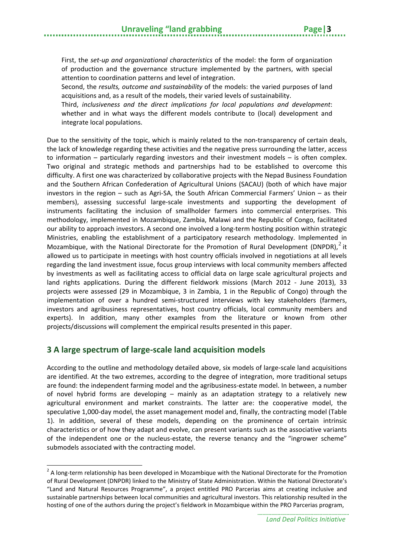First, the *set-up and organizational characteristics* of the model: the form of organization of production and the governance structure implemented by the partners, with special attention to coordination patterns and level of integration.

Second, the *results, outcome and sustainability* of the models: the varied purposes of land acquisitions and, as a result of the models, their varied levels of sustainability.

Third, *inclusiveness and the direct implications for local populations and development*: whether and in what ways the different models contribute to (local) development and integrate local populations.

Due to the sensitivity of the topic, which is mainly related to the non-transparency of certain deals, the lack of knowledge regarding these activities and the negative press surrounding the latter, access to information – particularly regarding investors and their investment models – is often complex. Two original and strategic methods and partnerships had to be established to overcome this difficulty. A first one was characterized by collaborative projects with the Nepad Business Foundation and the Southern African Confederation of Agricultural Unions (SACAU) (both of which have major investors in the region – such as Agri-SA, the South African Commercial Farmers' Union – as their members), assessing successful large-scale investments and supporting the development of instruments facilitating the inclusion of smallholder farmers into commercial enterprises. This methodology, implemented in Mozambique, Zambia, Malawi and the Republic of Congo, facilitated our ability to approach investors. A second one involved a long-term hosting position within strategic Ministries, enabling the establishment of a participatory research methodology. Implemented in Mozambique, with the National Directorate for the Promotion of Rural Development (DNPDR), $^2$  $^2$  it allowed us to participate in meetings with host country officials involved in negotiations at all levels regarding the land investment issue, focus group interviews with local community members affected by investments as well as facilitating access to official data on large scale agricultural projects and land rights applications. During the different fieldwork missions (March 2012 - June 2013), 33 projects were assessed (29 in Mozambique, 3 in Zambia, 1 in the Republic of Congo) through the implementation of over a hundred semi-structured interviews with key stakeholders (farmers, investors and agribusiness representatives, host country officials, local community members and experts). In addition, many other examples from the literature or known from other projects/discussions will complement the empirical results presented in this paper.

## <span id="page-8-0"></span>**3 A large spectrum of large-scale land acquisition models**

 $\overline{a}$ 

According to the outline and methodology detailed above, six models of large-scale land acquisitions are identified. At the two extremes, according to the degree of integration, more traditional setups are found: the independent farming model and the agribusiness-estate model. In between, a number of novel hybrid forms are developing – mainly as an adaptation strategy to a relatively new agricultural environment and market constraints. The latter are: the cooperative model, the speculative 1,000-day model, the asset management model and, finally, the contracting model (Table 1). In addition, several of these models, depending on the prominence of certain intrinsic characteristics or of how they adapt and evolve, can present variants such as the associative variants of the independent one or the nucleus-estate, the reverse tenancy and the "ingrower scheme" submodels associated with the contracting model.

<span id="page-8-1"></span><sup>&</sup>lt;sup>2</sup> A long-term relationship has been developed in Mozambique with the National Directorate for the Promotion of Rural Development (DNPDR) linked to the Ministry of State Administration. Within the National Directorate's "Land and Natural Resources Programme", a project entitled PRO Parcerias aims at creating inclusive and sustainable partnerships between local communities and agricultural investors. This relationship resulted in the hosting of one of the authors during the project's fieldwork in Mozambique within the PRO Parcerias program,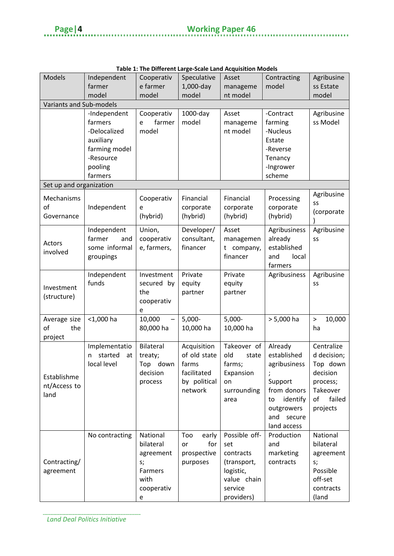à.

. . . . . . . . . . . . . . . . . . . .

|                         |                        | rapic 1. The Diricient Large-Scale Land Acquisition Models |                      |               |                |                |
|-------------------------|------------------------|------------------------------------------------------------|----------------------|---------------|----------------|----------------|
| <b>Models</b>           | Independent            | Cooperativ                                                 | Speculative          | Asset         | Contracting    | Agribusine     |
|                         | farmer                 | e farmer                                                   | 1,000-day            | manageme      | model          | ss Estate      |
|                         | model                  | model                                                      | model                | nt model      |                | model          |
| Variants and Sub-models |                        |                                                            |                      |               |                |                |
|                         | -Independent           | Cooperativ                                                 | $1000$ -day          | Asset         | -Contract      | Agribusine     |
|                         | farmers                | farmer<br>e                                                | model                | manageme      | farming        | ss Model       |
|                         | -Delocalized           | model                                                      |                      | nt model      | -Nucleus       |                |
|                         | auxiliary              |                                                            |                      |               | Estate         |                |
|                         | farming model          |                                                            |                      |               | -Reverse       |                |
|                         | -Resource              |                                                            |                      |               | Tenancy        |                |
|                         | pooling                |                                                            |                      |               | -Ingrower      |                |
|                         | farmers                |                                                            |                      |               | scheme         |                |
| Set up and organization |                        |                                                            |                      |               |                |                |
|                         |                        |                                                            |                      |               |                | Agribusine     |
| Mechanisms              |                        | Cooperativ                                                 | Financial            | Financial     | Processing     | SS             |
| of                      | Independent            | e                                                          | corporate            | corporate     | corporate      | (corporate     |
| Governance              |                        | (hybrid)                                                   | (hybrid)             | (hybrid)      | (hybrid)       |                |
|                         | Independent            | Union,                                                     | Developer/           | Asset         | Agribusiness   | Agribusine     |
|                         | farmer<br>and          | cooperativ                                                 | consultant,          | managemen     | already        | SS             |
| Actors                  | some informal          | e, farmers,                                                | financer             | t company,    | established    |                |
| involved                | groupings              |                                                            |                      | financer      | local<br>and   |                |
|                         |                        |                                                            |                      |               | farmers        |                |
|                         | Independent            | Investment                                                 | Private              | Private       | Agribusiness   | Agribusine     |
|                         | funds                  | secured by                                                 | equity               | equity        |                | SS             |
| Investment              |                        | the                                                        | partner              | partner       |                |                |
| (structure)             |                        | cooperativ                                                 |                      |               |                |                |
|                         |                        | e                                                          |                      |               |                |                |
| Average size            | $<$ 1,000 ha           | 10,000                                                     | $5,000-$             | $5,000-$      | $> 5,000$ ha   | 10,000<br>$\,$ |
| of<br>the               |                        | 80,000 ha                                                  | 10,000 ha            | 10,000 ha     |                | ha             |
| project                 |                        |                                                            |                      |               |                |                |
|                         | Implementatio          | Bilateral                                                  | Acquisition          | Takeover of   | Already        | Centralize     |
|                         | started                | treaty;                                                    | of old state         | old           | established    | d decision;    |
|                         | at<br>n<br>local level |                                                            |                      | state         |                |                |
|                         |                        | down<br>Top                                                | farms<br>facilitated | farms;        | agribusiness   | Top down       |
| Establishme             |                        | decision                                                   |                      | Expansion     |                | decision       |
| nt/Access to            |                        | process                                                    | by political         | on            | Support        | process;       |
| land                    |                        |                                                            | network              | surrounding   | from donors    | Takeover       |
|                         |                        |                                                            |                      | area          | identify<br>to | failed<br>of   |
|                         |                        |                                                            |                      |               | outgrowers     | projects       |
|                         |                        |                                                            |                      |               | and secure     |                |
|                         |                        |                                                            |                      |               | land access    |                |
|                         | No contracting         | National                                                   | Too<br>early         | Possible off- | Production     | National       |
|                         |                        | bilateral                                                  | for<br>or            | set           | and            | bilateral      |
|                         |                        | agreement                                                  | prospective          | contracts     | marketing      | agreement      |
| Contracting/            |                        | s;                                                         | purposes             | (transport,   | contracts      | s;             |
| agreement               |                        | Farmers                                                    |                      | logistic,     |                | Possible       |
|                         |                        | with                                                       |                      | value chain   |                | off-set        |
|                         |                        | cooperativ                                                 |                      | service       |                | contracts      |
|                         |                        | e                                                          |                      | providers)    |                | (land          |

| Table 1: The Different Large-Scale Land Acquisition Models |  |
|------------------------------------------------------------|--|
|------------------------------------------------------------|--|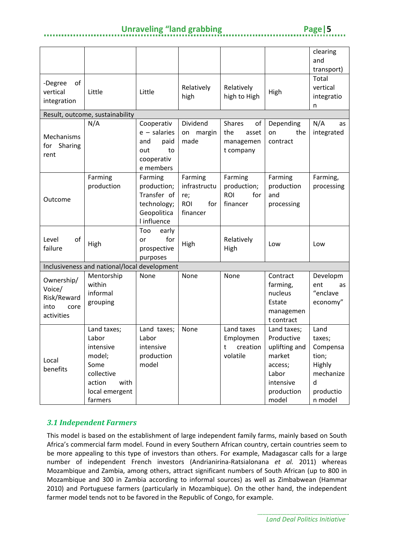## **Unraveling "land grabbing The Convention Page | 5**

|                                                                   |                                                                                                                  |                                                                                     |                                                                 |                                                               |                                                                                                              | clearing                                                                                |
|-------------------------------------------------------------------|------------------------------------------------------------------------------------------------------------------|-------------------------------------------------------------------------------------|-----------------------------------------------------------------|---------------------------------------------------------------|--------------------------------------------------------------------------------------------------------------|-----------------------------------------------------------------------------------------|
|                                                                   |                                                                                                                  |                                                                                     |                                                                 |                                                               |                                                                                                              | and                                                                                     |
|                                                                   |                                                                                                                  |                                                                                     |                                                                 |                                                               |                                                                                                              | transport)                                                                              |
| of<br>-Degree<br>vertical<br>integration                          | Little                                                                                                           | Little                                                                              | Relatively<br>high                                              | Relatively<br>high to High                                    | High                                                                                                         | Total<br>vertical<br>integratio<br>n                                                    |
|                                                                   | Result, outcome, sustainability                                                                                  |                                                                                     |                                                                 |                                                               |                                                                                                              |                                                                                         |
| Mechanisms<br>Sharing<br>for<br>rent                              | N/A                                                                                                              | Cooperativ<br>$e -$ salaries<br>paid<br>and<br>to<br>out<br>cooperativ<br>e members | Dividend<br>margin<br>on<br>made                                | <b>Shares</b><br>of<br>the<br>asset<br>managemen<br>t company | Depending<br>the<br>on<br>contract                                                                           | N/A<br>as<br>integrated                                                                 |
| Outcome                                                           | Farming<br>production                                                                                            | Farming<br>production;<br>Transfer of<br>technology;<br>Geopolitica<br>I influence  | Farming<br>infrastructu<br>re;<br><b>ROI</b><br>for<br>financer | Farming<br>production;<br><b>ROI</b><br>for<br>financer       | Farming<br>production<br>and<br>processing                                                                   | Farming,<br>processing                                                                  |
| of<br>Level<br>failure                                            | High                                                                                                             | Too<br>early<br>for<br>or<br>prospective<br>purposes                                | High                                                            | Relatively<br>High                                            | Low                                                                                                          | Low                                                                                     |
|                                                                   | Inclusiveness and national/local development                                                                     |                                                                                     |                                                                 |                                                               |                                                                                                              |                                                                                         |
| Ownership/<br>Voice/<br>Risk/Reward<br>into<br>core<br>activities | Mentorship<br>within<br>informal<br>grouping                                                                     | None                                                                                | None                                                            | None                                                          | Contract<br>farming,<br>nucleus<br>Estate<br>managemen<br>t contract                                         | Developm<br>ent<br>as<br>"enclave<br>economy"                                           |
| Local<br>benefits                                                 | Land taxes;<br>Labor<br>intensive<br>model;<br>Some<br>collective<br>with<br>action<br>local emergent<br>farmers | Land taxes;<br>Labor<br>intensive<br>production<br>model                            | None                                                            | Land taxes<br>Employmen<br>creation<br>t<br>volatile          | Land taxes;<br>Productive<br>uplifting and<br>market<br>access;<br>Labor<br>intensive<br>production<br>model | Land<br>taxes;<br>Compensa<br>tion;<br>Highly<br>mechanize<br>d<br>productio<br>n model |

## <span id="page-10-0"></span>*3.1 Independent Farmers*

This model is based on the establishment of large independent family farms, mainly based on South Africa's commercial farm model. Found in every Southern African country, certain countries seem to be more appealing to this type of investors than others. For example, Madagascar calls for a large number of independent French investors [\(Andrianirina-Ratsialonana](#page-28-4) *et al.* 2011) whereas Mozambique and Zambia, among others, attract significant numbers of South African (up to 800 in Mozambique and 300 in Zambia according to informal sources) as well as Zimbabwean [\(Hammar](#page-29-6)  [2010\)](#page-29-6) and Portuguese farmers (particularly in Mozambique). On the other hand, the independent farmer model tends not to be favored in the Republic of Congo, for example.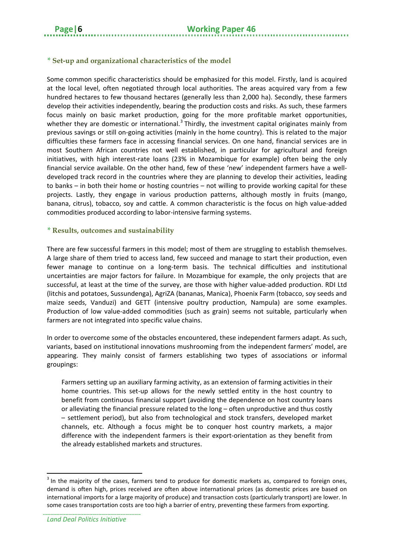#### *\** **Set-up and organizational characteristics of the model**

Some common specific characteristics should be emphasized for this model. Firstly, land is acquired at the local level, often negotiated through local authorities. The areas acquired vary from a few hundred hectares to few thousand hectares (generally less than 2,000 ha). Secondly, these farmers develop their activities independently, bearing the production costs and risks. As such, these farmers focus mainly on basic market production, going for the more profitable market opportunities, whether they are domestic or international.<sup>[3](#page-11-0)</sup> Thirdly, the investment capital originates mainly from previous savings or still on-going activities (mainly in the home country). This is related to the major difficulties these farmers face in accessing financial services. On one hand, financial services are in most Southern African countries not well established, in particular for agricultural and foreign initiatives, with high interest-rate loans (23% in Mozambique for example) often being the only financial service available. On the other hand, few of these 'new' independent farmers have a welldeveloped track record in the countries where they are planning to develop their activities, leading to banks – in both their home or hosting countries – not willing to provide working capital for these projects. Lastly, they engage in various production patterns, although mostly in fruits (mango, banana, citrus), tobacco, soy and cattle. A common characteristic is the focus on high value-added commodities produced according to labor-intensive farming systems.

#### *\** **Results, outcomes and sustainability**

There are few successful farmers in this model; most of them are struggling to establish themselves. A large share of them tried to access land, few succeed and manage to start their production, even fewer manage to continue on a long-term basis. The technical difficulties and institutional uncertainties are major factors for failure. In Mozambique for example, the only projects that are successful, at least at the time of the survey, are those with higher value-added production. RDI Ltd (litchis and potatoes, Sussundenga), AgriZA (bananas, Manica), Phoenix Farm (tobacco, soy seeds and maize seeds, Vanduzi) and GETT (intensive poultry production, Nampula) are some examples. Production of low value-added commodities (such as grain) seems not suitable, particularly when farmers are not integrated into specific value chains.

In order to overcome some of the obstacles encountered, these independent farmers adapt. As such, variants, based on institutional innovations mushrooming from the independent farmers' model, are appearing. They mainly consist of farmers establishing two types of associations or informal groupings:

Farmers setting up an auxiliary farming activity, as an extension of farming activities in their home countries. This set-up allows for the newly settled entity in the host country to benefit from continuous financial support (avoiding the dependence on host country loans or alleviating the financial pressure related to the long – often unproductive and thus costly – settlement period), but also from technological and stock transfers, developed market channels, etc. Although a focus might be to conquer host country markets, a major difference with the independent farmers is their export-orientation as they benefit from the already established markets and structures.

<span id="page-11-0"></span><sup>&</sup>lt;sup>3</sup> In the majority of the cases, farmers tend to produce for domestic markets as, compared to foreign ones, demand is often high, prices received are often above international prices (as domestic prices are based on international imports for a large majority of produce) and transaction costs (particularly transport) are lower. In some cases transportation costs are too high a barrier of entry, preventing these farmers from exporting.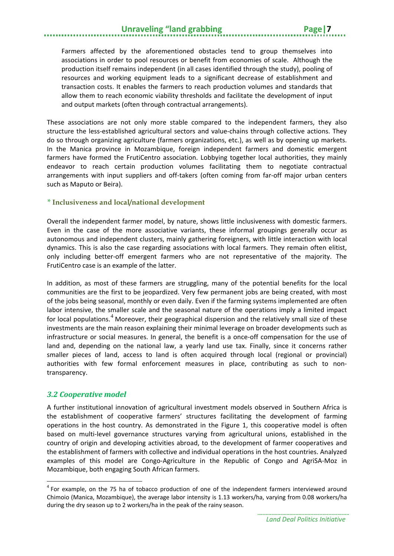## **Unraveling "land grabbing**

Farmers affected by the aforementioned obstacles tend to group themselves into associations in order to pool resources or benefit from economies of scale. Although the production itself remains independent (in all cases identified through the study), pooling of resources and working equipment leads to a significant decrease of establishment and transaction costs. It enables the farmers to reach production volumes and standards that allow them to reach economic viability thresholds and facilitate the development of input and output markets (often through contractual arrangements).

These associations are not only more stable compared to the independent farmers, they also structure the less-established agricultural sectors and value-chains through collective actions. They do so through organizing agriculture (farmers organizations, etc.), as well as by opening up markets. In the Manica province in Mozambique, foreign independent farmers and domestic emergent farmers have formed the FrutiCentro association. Lobbying together local authorities, they mainly endeavor to reach certain production volumes facilitating them to negotiate contractual arrangements with input suppliers and off-takers (often coming from far-off major urban centers such as Maputo or Beira).

#### *\** **Inclusiveness and local/national development**

Overall the independent farmer model, by nature, shows little inclusiveness with domestic farmers. Even in the case of the more associative variants, these informal groupings generally occur as autonomous and independent clusters, mainly gathering foreigners, with little interaction with local dynamics. This is also the case regarding associations with local farmers. They remain often elitist, only including better-off emergent farmers who are not representative of the majority. The FrutiCentro case is an example of the latter.

In addition, as most of these farmers are struggling, many of the potential benefits for the local communities are the first to be jeopardized. Very few permanent jobs are being created, with most of the jobs being seasonal, monthly or even daily. Even if the farming systems implemented are often labor intensive, the smaller scale and the seasonal nature of the operations imply a limited impact for local populations.<sup>[4](#page-12-1)</sup> Moreover, their geographical dispersion and the relatively small size of these investments are the main reason explaining their minimal leverage on broader developments such as infrastructure or social measures. In general, the benefit is a once-off compensation for the use of land and, depending on the national law, a yearly land use tax. Finally, since it concerns rather smaller pieces of land, access to land is often acquired through local (regional or provincial) authorities with few formal enforcement measures in place, contributing as such to nontransparency.

#### <span id="page-12-0"></span>*3.2 Cooperative model*

 $\overline{a}$ 

A further institutional innovation of agricultural investment models observed in Southern Africa is the establishment of cooperative farmers' structures facilitating the development of farming operations in the host country. As demonstrated in the Figure 1, this cooperative model is often based on multi-level governance structures varying from agricultural unions, established in the country of origin and developing activities abroad, to the development of farmer cooperatives and the establishment of farmers with collective and individual operations in the host countries. Analyzed examples of this model are Congo-Agriculture in the Republic of Congo and AgriSA-Moz in Mozambique, both engaging South African farmers.

<span id="page-12-1"></span><sup>4</sup> For example, on the 75 ha of tobacco production of one of the independent farmers interviewed around Chimoio (Manica, Mozambique), the average labor intensity is 1.13 workers/ha, varying from 0.08 workers/ha during the dry season up to 2 workers/ha in the peak of the rainy season.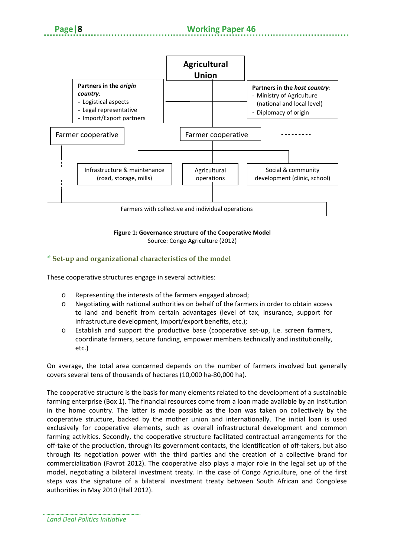

## **Figure 1: Governance structure of the Cooperative Model**

Source: Congo Agriculture (2012)

#### *\** **Set-up and organizational characteristics of the model**

These cooperative structures engage in several activities:

- o Representing the interests of the farmers engaged abroad;
- o Negotiating with national authorities on behalf of the farmers in order to obtain access to land and benefit from certain advantages (level of tax, insurance, support for infrastructure development, import/export benefits, etc.);
- o Establish and support the productive base (cooperative set-up, i.e. screen farmers, coordinate farmers, secure funding, empower members technically and institutionally, etc.)

On average, the total area concerned depends on the number of farmers involved but generally covers several tens of thousands of hectares (10,000 ha-80,000 ha).

The cooperative structure is the basis for many elements related to the development of a sustainable farming enterprise (Box 1). The financial resources come from a loan made available by an institution in the home country. The latter is made possible as the loan was taken on collectively by the cooperative structure, backed by the mother union and internationally. The initial loan is used exclusively for cooperative elements, such as overall infrastructural development and common farming activities. Secondly, the cooperative structure facilitated contractual arrangements for the off-take of the production, through its government contacts, the identification of off-takers, but also through its negotiation power with the third parties and the creation of a collective brand for commercialization [\(Favrot 2012\)](#page-29-7). The cooperative also plays a major role in the legal set up of the model, negotiating a bilateral investment treaty. In the case of Congo Agriculture, one of the first steps was the signature of a bilateral investment treaty between South African and Congolese authorities in May 2010 [\(Hall 2012\)](#page-29-8).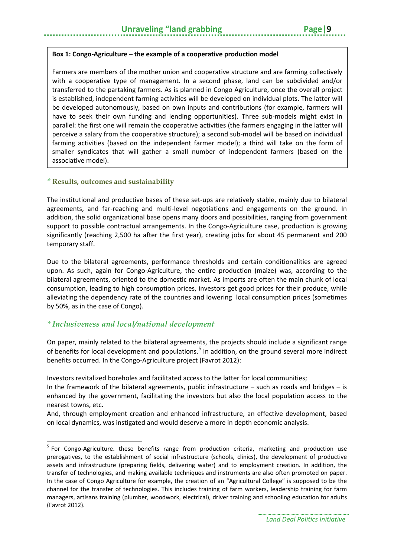Farmers are members of the mother union and cooperative structure and are farming collectively with a cooperative type of management. In a second phase, land can be subdivided and/or transferred to the partaking farmers. As is planned in Congo Agriculture, once the overall project is established, independent farming activities will be developed on individual plots. The latter will be developed autonomously, based on own inputs and contributions (for example, farmers will have to seek their own funding and lending opportunities). Three sub-models might exist in parallel: the first one will remain the cooperative activities (the farmers engaging in the latter will perceive a salary from the cooperative structure); a second sub-model will be based on individual farming activities (based on the independent farmer model); a third will take on the form of smaller syndicates that will gather a small number of independent farmers (based on the associative model).

#### *\** **Results, outcomes and sustainability**

The institutional and productive bases of these set-ups are relatively stable, mainly due to bilateral agreements, and far-reaching and multi-level negotiations and engagements on the ground. In addition, the solid organizational base opens many doors and possibilities, ranging from government support to possible contractual arrangements. In the Congo-Agriculture case, production is growing significantly (reaching 2,500 ha after the first year), creating jobs for about 45 permanent and 200 temporary staff.

Due to the bilateral agreements, performance thresholds and certain conditionalities are agreed upon. As such, again for Congo-Agriculture, the entire production (maize) was, according to the bilateral agreements, oriented to the domestic market. As imports are often the main chunk of local consumption, leading to high consumption prices, investors get good prices for their produce, while alleviating the dependency rate of the countries and lowering local consumption prices (sometimes by 50%, as in the case of Congo).

#### *\* Inclusiveness and local/national development*

**.** 

On paper, mainly related to the bilateral agreements, the projects should include a significant range of benefits for local development and populations.<sup>[5](#page-14-0)</sup> In addition, on the ground several more indirect benefits occurred. In the Congo-Agriculture project [\(Favrot 2012\)](#page-29-7):

Investors revitalized boreholes and facilitated access to the latter for local communities;

And, through employment creation and enhanced infrastructure, an effective development, based on local dynamics, was instigated and would deserve a more in depth economic analysis.

In the framework of the bilateral agreements, public infrastructure  $-$  such as roads and bridges  $-$  is enhanced by the government, facilitating the investors but also the local population access to the nearest towns, etc.

<span id="page-14-0"></span><sup>&</sup>lt;sup>5</sup> For Congo-Agriculture. these benefits range from production criteria, marketing and production use prerogatives, to the establishment of social infrastructure (schools, clinics), the development of productive assets and infrastructure (preparing fields, delivering water) and to employment creation. In addition, the transfer of technologies, and making available techniques and instruments are also often promoted on paper. In the case of Congo Agriculture for example, the creation of an "Agricultural College" is supposed to be the channel for the transfer of technologies. This includes training of farm workers, leadership training for farm managers, artisans training (plumber, woodwork, electrical), driver training and schooling education for adults (Favrot 2012).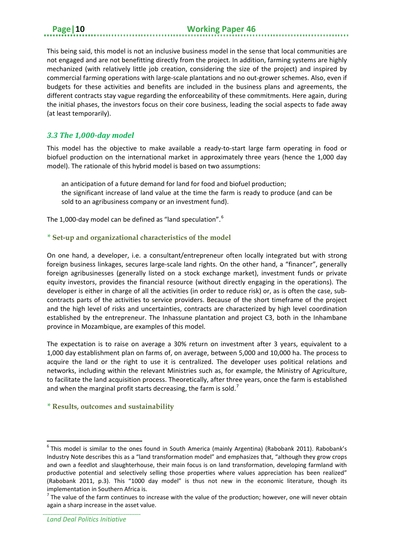This being said, this model is not an inclusive business model in the sense that local communities are not engaged and are not benefitting directly from the project. In addition, farming systems are highly mechanized (with relatively little job creation, considering the size of the project) and inspired by commercial farming operations with large-scale plantations and no out-grower schemes. Also, even if budgets for these activities and benefits are included in the business plans and agreements, the different contracts stay vague regarding the enforceability of these commitments. Here again, during the initial phases, the investors focus on their core business, leading the social aspects to fade away (at least temporarily).

#### <span id="page-15-0"></span>*3.3 The 1,000-day model*

This model has the objective to make available a ready-to-start large farm operating in food or biofuel production on the international market in approximately three years (hence the 1,000 day model). The rationale of this hybrid model is based on two assumptions:

an anticipation of a future demand for land for food and biofuel production; the significant increase of land value at the time the farm is ready to produce (and can be sold to an agribusiness company or an investment fund).

The 1,000-day model can be defined as "land speculation".<sup>[6](#page-15-1)</sup>

#### *\** **Set-up and organizational characteristics of the model**

On one hand, a developer, i.e. a consultant/entrepreneur often locally integrated but with strong foreign business linkages, secures large-scale land rights. On the other hand, a "financer", generally foreign agribusinesses (generally listed on a stock exchange market), investment funds or private equity investors, provides the financial resource (without directly engaging in the operations). The developer is either in charge of all the activities (in order to reduce risk) or, as is often the case, subcontracts parts of the activities to service providers. Because of the short timeframe of the project and the high level of risks and uncertainties, contracts are characterized by high level coordination established by the entrepreneur. The Inhassune plantation and project C3, both in the Inhambane province in Mozambique, are examples of this model.

The expectation is to raise on average a 30% return on investment after 3 years, equivalent to a 1,000 day establishment plan on farms of, on average, between 5,000 and 10,000 ha. The process to acquire the land or the right to use it is centralized. The developer uses political relations and networks, including within the relevant Ministries such as, for example, the Ministry of Agriculture, to facilitate the land acquisition process. Theoretically, after three years, once the farm is established and when the marginal profit starts decreasing, the farm is sold.<sup>[7](#page-15-2)</sup>

#### *\** **Results, outcomes and sustainability**

<span id="page-15-1"></span><sup>&</sup>lt;sup>6</sup> This model is similar to the ones found in South America (mainly Argentina) (Rabobank 2011). Rabobank's Industry Note describes this as a "land transformation model" and emphasizes that, "although they grow crops and own a feedlot and slaughterhouse, their main focus is on land transformation, developing farmland with productive potential and selectively selling those properties where values appreciation has been realized" (Rabobank 2011, p.3). This "1000 day model" is thus not new in the economic literature, though its implementation in Southern Africa is.

<span id="page-15-2"></span> $<sup>7</sup>$  The value of the farm continues to increase with the value of the production; however, one will never obtain</sup> again a sharp increase in the asset value.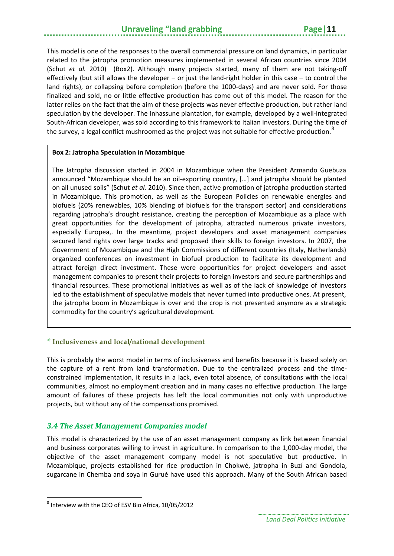## **Unraveling "land grabbing The Page | 11**

This model is one of the responses to the overall commercial pressure on land dynamics, in particular related to the jatropha promotion measures implemented in several African countries since 2004 [\(Schut](#page-30-9) *et al.* 2010) (Box2). Although many projects started, many of them are not taking-off effectively (but still allows the developer – or just the land-right holder in this case – to control the land rights), or collapsing before completion (before the 1000-days) and are never sold. For those finalized and sold, no or little effective production has come out of this model. The reason for the latter relies on the fact that the aim of these projects was never effective production, but rather land speculation by the developer. The Inhassune plantation, for example, developed by a well-integrated South-African developer, was sold according to this framework to Italian investors. During the time of the survey, a legal conflict mushroomed as the project was not suitable for effective production.  ${}^{8}$  ${}^{8}$  ${}^{8}$ 

#### **Box 2: Jatropha Speculation in Mozambique**

The Jatropha discussion started in 2004 in Mozambique when the President Armando Guebuza announced "Mozambique should be an oil-exporting country, […] and jatropha should be planted on all unused soils" [\(Schut](#page-30-9) *et al.* 2010). Since then, active promotion of jatropha production started in Mozambique. This promotion, as well as the European Policies on renewable energies and biofuels (20% renewables, 10% blending of biofuels for the transport sector) and considerations regarding jatropha's drought resistance, creating the perception of Mozambique as a place with great opportunities for the development of jatropha, attracted numerous private investors, especially Europea,. In the meantime, project developers and asset management companies secured land rights over large tracks and proposed their skills to foreign investors. In 2007, the Government of Mozambique and the High Commissions of different countries (Italy, Netherlands) organized conferences on investment in biofuel production to facilitate its development and attract foreign direct investment. These were opportunities for project developers and asset management companies to present their projects to foreign investors and secure partnerships and financial resources. These promotional initiatives as well as of the lack of knowledge of investors led to the establishment of speculative models that never turned into productive ones. At present, the jatropha boom in Mozambique is over and the crop is not presented anymore as a strategic commodity for the country's agricultural development.

#### *\** **Inclusiveness and local/national development**

This is probably the worst model in terms of inclusiveness and benefits because it is based solely on the capture of a rent from land transformation. Due to the centralized process and the timeconstrained implementation, it results in a lack, even total absence, of consultations with the local communities, almost no employment creation and in many cases no effective production. The large amount of failures of these projects has left the local communities not only with unproductive projects, but without any of the compensations promised.

#### <span id="page-16-0"></span>*3.4 The Asset Management Companies model*

This model is characterized by the use of an asset management company as link between financial and business corporates willing to invest in agriculture. In comparison to the 1,000-day model, the objective of the asset management company model is not speculative but productive. In Mozambique, projects established for rice production in Chokwé, jatropha in Buzí and Gondola, sugarcane in Chemba and soya in Gurué have used this approach. Many of the South African based

**.** 

<span id="page-16-1"></span><sup>8</sup> Interview with the CEO of ESV Bio Africa, 10/05/2012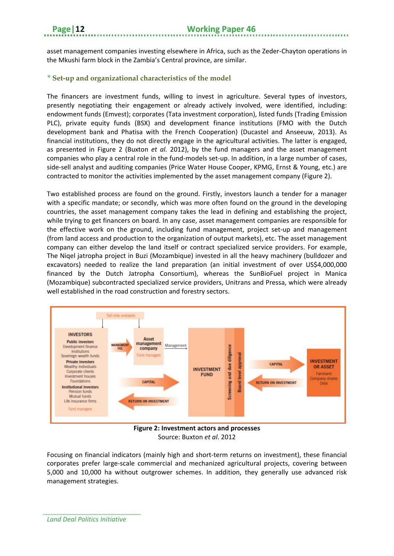asset management companies investing elsewhere in Africa, such as the Zeder-Chayton operations in the Mkushi farm block in the Zambia's Central province, are similar.

#### *\** **Set-up and organizational characteristics of the model**

The financers are investment funds, willing to invest in agriculture. Several types of investors, presently negotiating their engagement or already actively involved, were identified, including: endowment funds (Emvest); corporates (Tata investment corporation), listed funds (Trading Emission PLC), private equity funds (BSX) and development finance institutions (FMO with the Dutch development bank and Phatisa with the French Cooperation) (Ducastel and Anseeuw, 2013). As financial institutions, they do not directly engage in the agricultural activities. The latter is engaged, as presented in Figure 2 [\(Buxton](#page-29-4) *et al.* 2012), by the fund managers and the asset management companies who play a central role in the fund-models set-up. In addition, in a large number of cases, side-sell analyst and auditing companies (Price Water House Cooper, KPMG, Ernst & Young, etc.) are contracted to monitor the activities implemented by the asset management company (Figure 2).

Two established process are found on the ground. Firstly, investors launch a tender for a manager with a specific mandate; or secondly, which was more often found on the ground in the developing countries, the asset management company takes the lead in defining and establishing the project, while trying to get financers on board. In any case, asset management companies are responsible for the effective work on the ground, including fund management, project set-up and management (from land access and production to the organization of output markets), etc. The asset management company can either develop the land itself or contract specialized service providers. For example, The Niqel jatropha project in Buzi (Mozambique) invested in all the heavy machinery (bulldozer and excavators) needed to realize the land preparation (an initial investment of over US\$4,000,000 financed by the Dutch Jatropha Consortium), whereas the SunBioFuel project in Manica (Mozambique) subcontracted specialized service providers, Unitrans and Pressa, which were already well established in the road construction and forestry sectors.



Source: Buxton *et al*. 2012

Focusing on financial indicators (mainly high and short-term returns on investment), these financial corporates prefer large-scale commercial and mechanized agricultural projects, covering between 5,000 and 10,000 ha without outgrower schemes. In addition, they generally use advanced risk management strategies.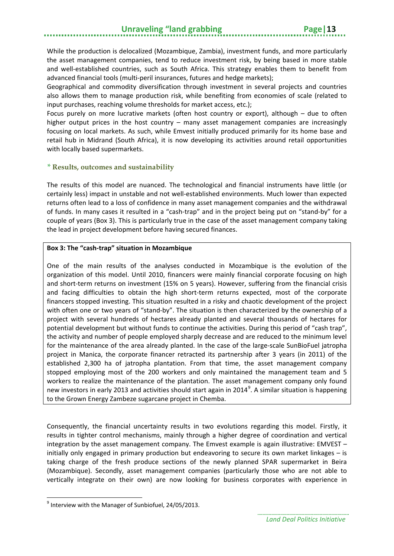While the production is delocalized (Mozambique, Zambia), investment funds, and more particularly the asset management companies, tend to reduce investment risk, by being based in more stable and well-established countries, such as South Africa. This strategy enables them to benefit from advanced financial tools (multi-peril insurances, futures and hedge markets);

Geographical and commodity diversification through investment in several projects and countries also allows them to manage production risk, while benefiting from economies of scale (related to input purchases, reaching volume thresholds for market access, etc.);

Focus purely on more lucrative markets (often host country or export), although – due to often higher output prices in the host country – many asset management companies are increasingly focusing on local markets. As such, while Emvest initially produced primarily for its home base and retail hub in Midrand (South Africa), it is now developing its activities around retail opportunities with locally based supermarkets.

#### *\** **Results, outcomes and sustainability**

The results of this model are nuanced. The technological and financial instruments have little (or certainly less) impact in unstable and not well-established environments. Much lower than expected returns often lead to a loss of confidence in many asset management companies and the withdrawal of funds. In many cases it resulted in a "cash-trap" and in the project being put on "stand-by" for a couple of years (Box 3). This is particularly true in the case of the asset management company taking the lead in project development before having secured finances.

#### **Box 3: The "cash-trap" situation in Mozambique**

One of the main results of the analyses conducted in Mozambique is the evolution of the organization of this model. Until 2010, financers were mainly financial corporate focusing on high and short-term returns on investment (15% on 5 years). However, suffering from the financial crisis and facing difficulties to obtain the high short-term returns expected, most of the corporate financers stopped investing. This situation resulted in a risky and chaotic development of the project with often one or two years of "stand-by". The situation is then characterized by the ownership of a project with several hundreds of hectares already planted and several thousands of hectares for potential development but without funds to continue the activities. During this period of "cash trap", the activity and number of people employed sharply decrease and are reduced to the minimum level for the maintenance of the area already planted. In the case of the large-scale SunBioFuel jatropha project in Manica, the corporate financer retracted its partnership after 3 years (in 2011) of the established 2,300 ha of jatropha plantation. From that time, the asset management company stopped employing most of the 200 workers and only maintained the management team and 5 workers to realize the maintenance of the plantation. The asset management company only found new investors in early 2013 and activities should start again in 2014<sup>[9](#page-18-0)</sup>. A similar situation is happening to the Grown Energy Zambeze sugarcane project in Chemba.

Consequently, the financial uncertainty results in two evolutions regarding this model. Firstly, it results in tighter control mechanisms, mainly through a higher degree of coordination and vertical integration by the asset management company. The Emvest example is again illustrative: EMVEST – initially only engaged in primary production but endeavoring to secure its own market linkages – is taking charge of the fresh produce sections of the newly planned SPAR supermarket in Beira (Mozambique). Secondly, asset management companies (particularly those who are not able to vertically integrate on their own) are now looking for business corporates with experience in

<span id="page-18-0"></span> $9$  Interview with the Manager of Sunbiofuel, 24/05/2013.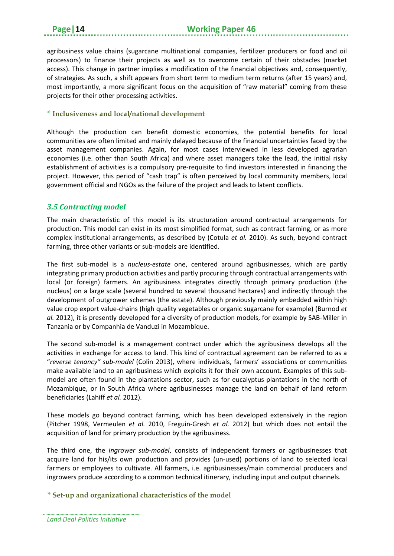agribusiness value chains (sugarcane multinational companies, fertilizer producers or food and oil processors) to finance their projects as well as to overcome certain of their obstacles (market access). This change in partner implies a modification of the financial objectives and, consequently, of strategies. As such, a shift appears from short term to medium term returns (after 15 years) and, most importantly, a more significant focus on the acquisition of "raw material" coming from these projects for their other processing activities.

#### *\** **Inclusiveness and local/national development**

Although the production can benefit domestic economies, the potential benefits for local communities are often limited and mainly delayed because of the financial uncertainties faced by the asset management companies. Again, for most cases interviewed in less developed agrarian economies (i.e. other than South Africa) and where asset managers take the lead, the initial risky establishment of activities is a compulsory pre-requisite to find investors interested in financing the project. However, this period of "cash trap" is often perceived by local community members, local government official and NGOs as the failure of the project and leads to latent conflicts.

#### <span id="page-19-0"></span>*3.5 Contracting model*

The main characteristic of this model is its structuration around contractual arrangements for production. This model can exist in its most simplified format, such as contract farming, or as more complex institutional arrangements, as described by [\(Cotula](#page-29-9) *et al.* 2010). As such, beyond contract farming, three other variants or sub-models are identified.

The first sub-model is a *nucleus-estate* one, centered around agribusinesses, which are partly integrating primary production activities and partly procuring through contractual arrangements with local (or foreign) farmers. An agribusiness integrates directly through primary production (the nucleus) on a large scale (several hundred to several thousand hectares) and indirectly through the development of outgrower schemes (the estate). Although previously mainly embedded within high value crop export value-chains (high quality vegetables or organic sugarcane for example) [\(Burnod](#page-29-10) *et al.* [2012\)](#page-29-10), it is presently developed for a diversity of production models, for example by SAB-Miller in Tanzania or by Companhia de Vanduzi in Mozambique.

The second sub-model is a management contract under which the agribusiness develops all the activities in exchange for access to land. This kind of contractual agreement can be referred to as a "*reverse tenancy" sub-model* [\(Colin 2013\)](#page-29-11), where individuals, farmers' associations or communities make available land to an agribusiness which exploits it for their own account. Examples of this submodel are often found in the plantations sector, such as for eucalyptus plantations in the north of Mozambique, or in South Africa where agribusinesses manage the land on behalf of land reform beneficiaries [\(Lahiff](#page-30-10) *et al.* 2012).

These models go beyond contract farming, which has been developed extensively in the region [\(Pitcher 1998,](#page-30-11) [Vermeulen](#page-30-5) *et al.* 2010, [Freguin-Gresh](#page-29-12) *et al.* 2012) but which does not entail the acquisition of land for primary production by the agribusiness.

The third one, the *ingrower sub-model*, consists of independent farmers or agribusinesses that acquire land for his/its own production and provides (un-used) portions of land to selected local farmers or employees to cultivate. All farmers, i.e. agribusinesses/main commercial producers and ingrowers produce according to a common technical itinerary, including input and output channels.

#### *\** **Set-up and organizational characteristics of the model**

*Land Deal Politics Initiative*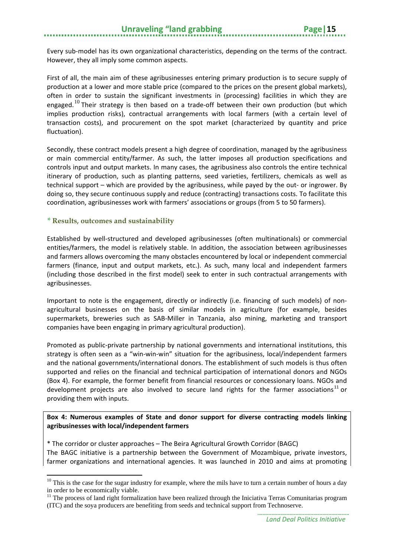Every sub-model has its own organizational characteristics, depending on the terms of the contract. However, they all imply some common aspects.

First of all, the main aim of these agribusinesses entering primary production is to secure supply of production at a lower and more stable price (compared to the prices on the present global markets), often in order to sustain the significant investments in (processing) facilities in which they are engaged.<sup>[10](#page-20-0)</sup> Their strategy is then based on a trade-off between their own production (but which implies production risks), contractual arrangements with local farmers (with a certain level of transaction costs), and procurement on the spot market (characterized by quantity and price fluctuation).

Secondly, these contract models present a high degree of coordination, managed by the agribusiness or main commercial entity/farmer. As such, the latter imposes all production specifications and controls input and output markets. In many cases, the agribusiness also controls the entire technical itinerary of production, such as planting patterns, seed varieties, fertilizers, chemicals as well as technical support – which are provided by the agribusiness, while payed by the out- or ingrower. By doing so, they secure continuous supply and reduce (contracting) transactions costs. To facilitate this coordination, agribusinesses work with farmers' associations or groups (from 5 to 50 farmers).

#### *\** **Results, outcomes and sustainability**

**.** 

Established by well-structured and developed agribusinesses (often multinationals) or commercial entities/farmers, the model is relatively stable. In addition, the association between agribusinesses and farmers allows overcoming the many obstacles encountered by local or independent commercial farmers (finance, input and output markets, etc.). As such, many local and independent farmers (including those described in the first model) seek to enter in such contractual arrangements with agribusinesses.

Important to note is the engagement, directly or indirectly (i.e. financing of such models) of nonagricultural businesses on the basis of similar models in agriculture (for example, besides supermarkets, breweries such as SAB-Miller in Tanzania, also mining, marketing and transport companies have been engaging in primary agricultural production).

Promoted as public-private partnership by national governments and international institutions, this strategy is often seen as a "win-win-win" situation for the agribusiness, local/independent farmers and the national governments/international donors. The establishment of such models is thus often supported and relies on the financial and technical participation of international donors and NGOs (Box 4). For example, the former benefit from financial resources or concessionary loans. NGOs and development projects are also involved to secure land rights for the farmer associations<sup>[11](#page-20-1)</sup> or providing them with inputs.

#### **Box 4: Numerous examples of State and donor support for diverse contracting models linking agribusinesses with local/independent farmers**

\* The corridor or cluster approaches – The Beira Agricultural Growth Corridor (BAGC) The BAGC initiative is a partnership between the Government of Mozambique, private investors, farmer organizations and international agencies. It was launched in 2010 and aims at promoting

<span id="page-20-0"></span> $10$  This is the case for the sugar industry for example, where the mils have to turn a certain number of hours a day in order to be economically viable.

<span id="page-20-1"></span> $11$  The process of land right formalization have been realized through the Iniciativa Terras Comunitarias program (ITC) and the soya producers are benefiting from seeds and technical support from Technoserve.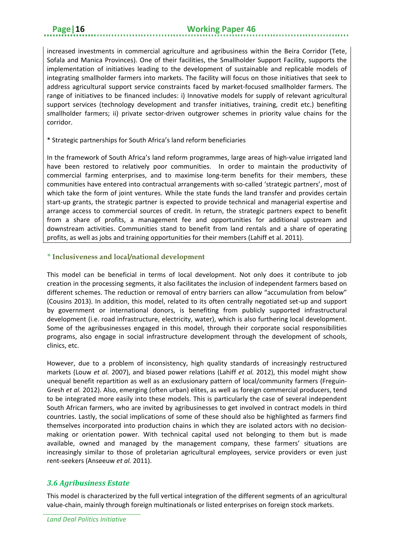increased investments in commercial agriculture and agribusiness within the Beira Corridor (Tete, Sofala and Manica Provinces). One of their facilities, the Smallholder Support Facility, supports the implementation of initiatives leading to the development of sustainable and replicable models of integrating smallholder farmers into markets. The facility will focus on those initiatives that seek to address agricultural support service constraints faced by market-focused smallholder farmers. The range of initiatives to be financed includes: i) Innovative models for supply of relevant agricultural support services (technology development and transfer initiatives, training, credit etc.) benefiting smallholder farmers; ii) private sector-driven outgrower schemes in priority value chains for the corridor.

#### \* Strategic partnerships for South Africa's land reform beneficiaries

In the framework of South Africa's land reform programmes, large areas of high-value irrigated land have been restored to relatively poor communities. In order to maintain the productivity of commercial farming enterprises, and to maximise long-term benefits for their members, these communities have entered into contractual arrangements with so-called 'strategic partners', most of which take the form of joint ventures. While the state funds the land transfer and provides certain start-up grants, the strategic partner is expected to provide technical and managerial expertise and arrange access to commercial sources of credit. In return, the strategic partners expect to benefit from a share of profits, a management fee and opportunities for additional upstream and downstream activities. Communities stand to benefit from land rentals and a share of operating profits, as well as jobs and training opportunities for their members (Lahiff et al. 2011).

#### *\** **Inclusiveness and local/national development**

This model can be beneficial in terms of local development. Not only does it contribute to job creation in the processing segments, it also facilitates the inclusion of independent farmers based on different schemes. The reduction or removal of entry barriers can allow "accumulation from below" [\(Cousins 2013\)](#page-29-13). In addition, this model, related to its often centrally negotiated set-up and support by government or international donors, is benefiting from publicly supported infrastructural development (i.e. road infrastructure, electricity, water), which is also furthering local development. Some of the agribusinesses engaged in this model, through their corporate social responsibilities programs, also engage in social infrastructure development through the development of schools, clinics, etc.

However, due to a problem of inconsistency, high quality standards of increasingly restructured markets [\(Louw](#page-30-12) *et al.* 2007), and biased power relations [\(Lahiff](#page-30-10) *et al.* 2012), this model might show unequal benefit repartition as well as an exclusionary pattern of local/community farmers [\(Freguin-](#page-29-12)[Gresh](#page-29-12) *et al.* 2012). Also, emerging (often urban) elites, as well as foreign commercial producers, tend to be integrated more easily into these models. This is particularly the case of several independent South African farmers, who are invited by agribusinesses to get involved in contract models in third countries. Lastly, the social implications of some of these should also be highlighted as farmers find themselves incorporated into production chains in which they are isolated actors with no decisionmaking or orientation power. With technical capital used not belonging to them but is made available, owned and managed by the management company, these farmers' situations are increasingly similar to those of proletarian agricultural employees, service providers or even just rent-seekers [\(Anseeuw](#page-28-5) *et al.* 2011).

## <span id="page-21-0"></span>*3.6 Agribusiness Estate*

This model is characterized by the full vertical integration of the different segments of an agricultural value-chain, mainly through foreign multinationals or listed enterprises on foreign stock markets.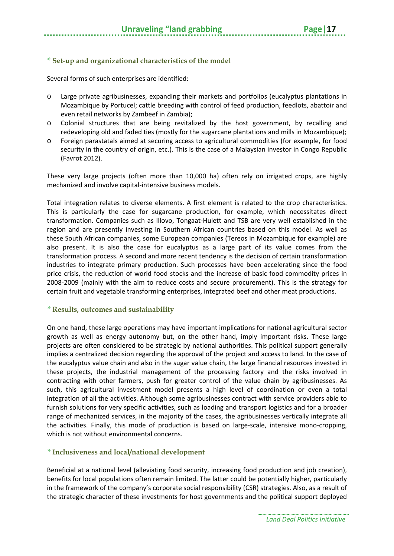#### *\** **Set-up and organizational characteristics of the model**

Several forms of such enterprises are identified:

- o Large private agribusinesses, expanding their markets and portfolios (eucalyptus plantations in Mozambique by Portucel; cattle breeding with control of feed production, feedlots, abattoir and even retail networks by Zambeef in Zambia);
- o Colonial structures that are being revitalized by the host government, by recalling and redeveloping old and faded ties (mostly for the sugarcane plantations and mills in Mozambique);
- o Foreign parastatals aimed at securing access to agricultural commodities (for example, for food security in the country of origin, etc.). This is the case of a Malaysian investor in Congo Republic [\(Favrot 2012\)](#page-29-7).

These very large projects (often more than 10,000 ha) often rely on irrigated crops, are highly mechanized and involve capital-intensive business models.

Total integration relates to diverse elements. A first element is related to the crop characteristics. This is particularly the case for sugarcane production, for example, which necessitates direct transformation. Companies such as Illovo, Tongaat-Hulett and TSB are very well established in the region and are presently investing in Southern African countries based on this model. As well as these South African companies, some European companies (Tereos in Mozambique for example) are also present. It is also the case for eucalyptus as a large part of its value comes from the transformation process. A second and more recent tendency is the decision of certain transformation industries to integrate primary production. Such processes have been accelerating since the food price crisis, the reduction of world food stocks and the increase of basic food commodity prices in 2008-2009 (mainly with the aim to reduce costs and secure procurement). This is the strategy for certain fruit and vegetable transforming enterprises, integrated beef and other meat productions.

#### *\** **Results, outcomes and sustainability**

On one hand, these large operations may have important implications for national agricultural sector growth as well as energy autonomy but, on the other hand, imply important risks. These large projects are often considered to be strategic by national authorities. This political support generally implies a centralized decision regarding the approval of the project and access to land. In the case of the eucalyptus value chain and also in the sugar value chain, the large financial resources invested in these projects, the industrial management of the processing factory and the risks involved in contracting with other farmers, push for greater control of the value chain by agribusinesses. As such, this agricultural investment model presents a high level of coordination or even a total integration of all the activities. Although some agribusinesses contract with service providers able to furnish solutions for very specific activities, such as loading and transport logistics and for a broader range of mechanized services, in the majority of the cases, the agribusinesses vertically integrate all the activities. Finally, this mode of production is based on large-scale, intensive mono-cropping, which is not without environmental concerns.

#### *\** **Inclusiveness and local/national development**

Beneficial at a national level (alleviating food security, increasing food production and job creation), benefits for local populations often remain limited. The latter could be potentially higher, particularly in the framework of the company's corporate social responsibility (CSR) strategies. Also, as a result of the strategic character of these investments for host governments and the political support deployed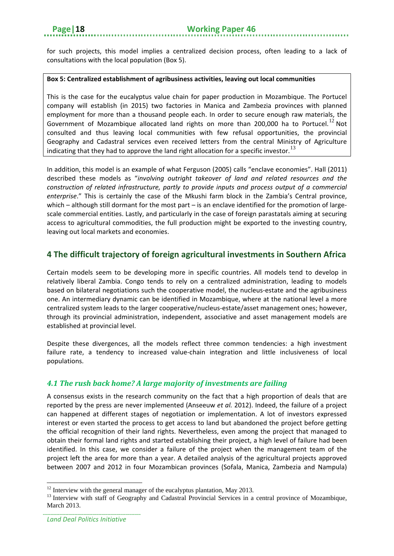for such projects, this model implies a centralized decision process, often leading to a lack of consultations with the local population (Box 5).

#### **Box 5: Centralized establishment of agribusiness activities, leaving out local communities**

This is the case for the eucalyptus value chain for paper production in Mozambique. The Portucel company will establish (in 2015) two factories in Manica and Zambezia provinces with planned employment for more than a thousand people each. In order to secure enough raw materials, the Government of Mozambique allocated land rights on more than 200,000 ha to Portucel.<sup>[12](#page-23-2)</sup> Not consulted and thus leaving local communities with few refusal opportunities, the provincial Geography and Cadastral services even received letters from the central Ministry of Agriculture indicating that they had to approve the land right allocation for a specific investor.  $^{13}$  $^{13}$  $^{13}$ 

In addition, this model is an example of what [Ferguson \(2005\)](#page-29-14) calls "enclave economies". [Hall \(2011\)](#page-29-15) described these models as "*involving outright takeover of land and related resources and the construction of related infrastructure, partly to provide inputs and process output of a commercial enterprise*." This is certainly the case of the Mkushi farm block in the Zambia's Central province, which – although still dormant for the most part – is an enclave identified for the promotion of largescale commercial entities. Lastly, and particularly in the case of foreign parastatals aiming at securing access to agricultural commodities, the full production might be exported to the investing country, leaving out local markets and economies.

## <span id="page-23-0"></span>**4 The difficult trajectory of foreign agricultural investments in Southern Africa**

Certain models seem to be developing more in specific countries. All models tend to develop in relatively liberal Zambia. Congo tends to rely on a centralized administration, leading to models based on bilateral negotiations such the cooperative model, the nucleus-estate and the agribusiness one. An intermediary dynamic can be identified in Mozambique, where at the national level a more centralized system leads to the larger cooperative/nucleus-estate/asset management ones; however, through its provincial administration, independent, associative and asset management models are established at provincial level.

Despite these divergences, all the models reflect three common tendencies: a high investment failure rate, a tendency to increased value-chain integration and little inclusiveness of local populations.

## <span id="page-23-1"></span>*4.1 The rush back home? A large majority of investments are failing*

A consensus exists in the research community on the fact that a high proportion of deals that are reported by the press are never implemented [\(Anseeuw](#page-28-3) *et al.* 2012). Indeed, the failure of a project can happened at different stages of negotiation or implementation. A lot of investors expressed interest or even started the process to get access to land but abandoned the project before getting the official recognition of their land rights. Nevertheless, even among the project that managed to obtain their formal land rights and started establishing their project, a high level of failure had been identified. In this case, we consider a failure of the project when the management team of the project left the area for more than a year. A detailed analysis of the agricultural projects approved between 2007 and 2012 in four Mozambican provinces (Sofala, Manica, Zambezia and Nampula)

<span id="page-23-3"></span><span id="page-23-2"></span><sup>&</sup>lt;sup>12</sup> Interview with the general manager of the eucalyptus plantation, May 2013.<br><sup>13</sup> Interview with staff of Geography and Cadastral Provincial Services in a central province of Mozambique, March 2013.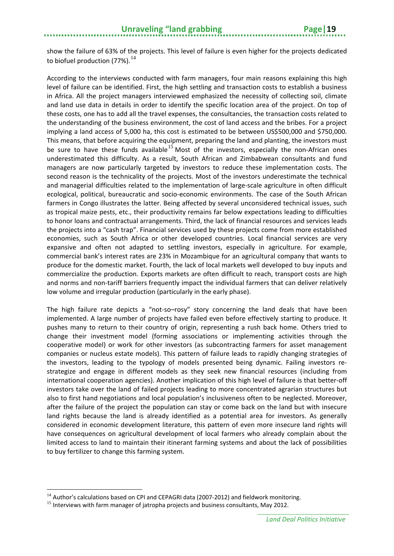show the failure of 63% of the projects. This level of failure is even higher for the projects dedicated to biofuel production (77%).  $^{14}$  $^{14}$  $^{14}$ 

According to the interviews conducted with farm managers, four main reasons explaining this high level of failure can be identified. First, the high settling and transaction costs to establish a business in Africa. All the project managers interviewed emphasized the necessity of collecting soil, climate and land use data in details in order to identify the specific location area of the project. On top of these costs, one has to add all the travel expenses, the consultancies, the transaction costs related to the understanding of the business environment, the cost of land access and the bribes. For a project implying a land access of 5,000 ha, this cost is estimated to be between US\$500,000 and \$750,000. This means, that before acquiring the equipment, preparing the land and planting, the investors must be sure to have these funds available<sup>[15](#page-24-1)</sup> Most of the investors, especially the non-African ones underestimated this difficulty. As a result, South African and Zimbabwean consultants and fund managers are now particularly targeted by investors to reduce these implementation costs. The second reason is the technicality of the projects. Most of the investors underestimate the technical and managerial difficulties related to the implementation of large-scale agriculture in often difficult ecological, political, bureaucratic and socio-economic environments. The case of the South African farmers in Congo illustrates the latter. Being affected by several unconsidered technical issues, such as tropical maize pests, etc., their productivity remains far below expectations leading to difficulties to honor loans and contractual arrangements. Third, the lack of financial resources and services leads the projects into a "cash trap". Financial services used by these projects come from more established economies, such as South Africa or other developed countries. Local financial services are very expansive and often not adapted to settling investors, especially in agriculture. For example, commercial bank's interest rates are 23% in Mozambique for an agricultural company that wants to produce for the domestic market. Fourth, the lack of local markets well developed to buy inputs and commercialize the production. Exports markets are often difficult to reach, transport costs are high and norms and non-tariff barriers frequently impact the individual farmers that can deliver relatively low volume and irregular production (particularly in the early phase).

The high failure rate depicts a "not-so–rosy" story concerning the land deals that have been implemented. A large number of projects have failed even before effectively starting to produce. It pushes many to return to their country of origin, representing a rush back home. Others tried to change their investment model (forming associations or implementing activities through the cooperative model) or work for other investors (as subcontracting farmers for asset management companies or nucleus estate models). This pattern of failure leads to rapidly changing strategies of the investors, leading to the typology of models presented being dynamic. Failing investors restrategize and engage in different models as they seek new financial resources (including from international cooperation agencies). Another implication of this high level of failure is that better-off investors take over the land of failed projects leading to more concentrated agrarian structures but also to first hand negotiations and local population's inclusiveness often to be neglected. Moreover, after the failure of the project the population can stay or come back on the land but with insecure land rights because the land is already identified as a potential area for investors. As generally considered in economic development literature, this pattern of even more insecure land rights will have consequences on agricultural development of local farmers who already complain about the limited access to land to maintain their itinerant farming systems and about the lack of possibilities to buy fertilizer to change this farming system.

<span id="page-24-0"></span> $14$  Author's calculations based on CPI and CEPAGRI data (2007-2012) and fieldwork monitoring.

<span id="page-24-1"></span> $15$  Interviews with farm manager of jatropha projects and business consultants, May 2012.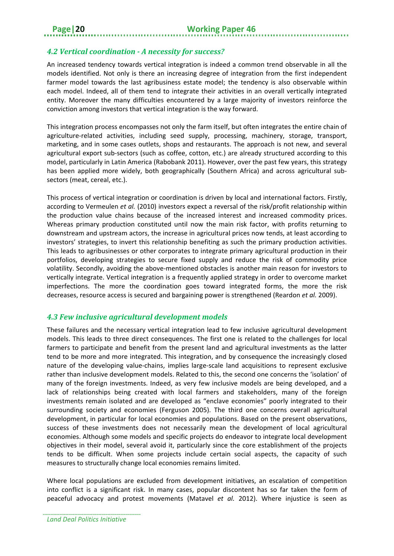#### <span id="page-25-0"></span>*4.2 Vertical coordination - A necessity for success?*

An increased tendency towards vertical integration is indeed a common trend observable in all the models identified. Not only is there an increasing degree of integration from the first independent farmer model towards the last agribusiness estate model; the tendency is also observable within each model. Indeed, all of them tend to integrate their activities in an overall vertically integrated entity. Moreover the many difficulties encountered by a large majority of investors reinforce the conviction among investors that vertical integration is the way forward.

This integration process encompasses not only the farm itself, but often integrates the entire chain of agriculture-related activities, including seed supply, processing, machinery, storage, transport, marketing, and in some cases outlets, shops and restaurants. The approach is not new, and several agricultural export sub-sectors (such as coffee, cotton, etc.) are already structured according to this model, particularly in Latin America [\(Rabobank 2011\)](#page-30-13). However, over the past few years, this strategy has been applied more widely, both geographically (Southern Africa) and across agricultural subsectors (meat, cereal, etc.).

This process of vertical integration or coordination is driven by local and international factors. Firstly, according to [Vermeulen](#page-30-5) *et al.* (2010) investors expect a reversal of the risk/profit relationship within the production value chains because of the increased interest and increased commodity prices. Whereas primary production constituted until now the main risk factor, with profits returning to downstream and upstream actors, the increase in agricultural prices now tends, at least according to investors' strategies, to invert this relationship benefiting as such the primary production activities. This leads to agribusinesses or other corporates to integrate primary agricultural production in their portfolios, developing strategies to secure fixed supply and reduce the risk of commodity price volatility. Secondly, avoiding the above-mentioned obstacles is another main reason for investors to vertically integrate. Vertical integration is a frequently applied strategy in order to overcome market imperfections. The more the coordination goes toward integrated forms, the more the risk decreases, resource access is secured and bargaining power is strengthened [\(Reardon](#page-30-14) *et al.* 2009).

#### <span id="page-25-1"></span>*4.3 Few inclusive agricultural development models*

These failures and the necessary vertical integration lead to few inclusive agricultural development models. This leads to three direct consequences. The first one is related to the challenges for local farmers to participate and benefit from the present land and agricultural investments as the latter tend to be more and more integrated. This integration, and by consequence the increasingly closed nature of the developing value-chains, implies large-scale land acquisitions to represent exclusive rather than inclusive development models. Related to this, the second one concerns the 'isolation' of many of the foreign investments. Indeed, as very few inclusive models are being developed, and a lack of relationships being created with local farmers and stakeholders, many of the foreign investments remain isolated and are developed as "enclave economies" poorly integrated to their surrounding society and economies [\(Ferguson 2005\)](#page-29-14). The third one concerns overall agricultural development, in particular for local economies and populations. Based on the present observations, success of these investments does not necessarily mean the development of local agricultural economies. Although some models and specific projects do endeavor to integrate local development objectives in their model, several avoid it, particularly since the core establishment of the projects tends to be difficult. When some projects include certain social aspects, the capacity of such measures to structurally change local economies remains limited.

Where local populations are excluded from development initiatives, an escalation of competition into conflict is a significant risk. In many cases, popular discontent has so far taken the form of peaceful advocacy and protest movements [\(Matavel](#page-30-15) *et al.* 2012). Where injustice is seen as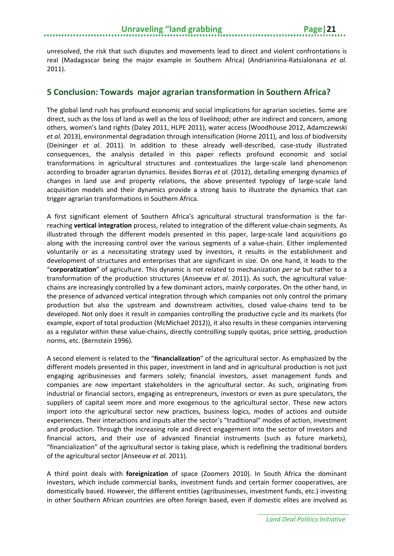unresolved, the risk that such disputes and movements lead to direct and violent confrontations is real (Madagascar being the major example in Southern Africa) [\(Andrianirina-Ratsialonana](#page-28-4) *et al.* [2011\)](#page-28-4).

#### <span id="page-26-0"></span>**5 Conclusion: Towards major agrarian transformation in Southern Africa?**

The global land rush has profound economic and social implications for agrarian societies. Some are direct, such as the loss of land as well as the loss of livelihood; other are indirect and concern, among others, women's land rights [\(Daley 2011,](#page-29-16) [HLPE 2011\)](#page-29-17), water access [\(Woodhouse 2012,](#page-30-1) [Adamczewski](#page-28-6) *et al.* [2013\)](#page-28-6), environmental degradation through intensification [\(Horne 2011\)](#page-30-16), and loss of biodiversity [\(Deininger](#page-29-0) *et al.* 2011). In addition to these already well-described, case-study illustrated consequences, the analysis detailed in this paper reflects profound economic and social transformations in agricultural structures and contextualizes the large-scale land phenomenon according to broader agrarian dynamics. Besides [Borras](#page-28-2) *et al.* (2012), detailing emerging dynamics of changes in land use and property relations, the above presented typology of large-scale land acquisition models and their dynamics provide a strong basis to illustrate the dynamics that can trigger agrarian transformations in Southern Africa.

A first significant element of Southern Africa's agricultural structural transformation is the farreaching **vertical integration** process, related to integration of the different value-chain segments. As illustrated through the different models presented in this paper, large-scale land acquisitions go along with the increasing control over the various segments of a value-chain. Either implemented voluntarily or as a necessitating strategy used by investors, it results in the establishment and development of structures and enterprises that are significant in size. On one hand, it leads to the "**corporatization**" of agriculture. This dynamic is not related to mechanization *per se* but rather to a transformation of the production structures [\(Anseeuw](#page-28-5) *et al.* 2011). As such, the agricultural valuechains are increasingly controlled by a few dominant actors, mainly corporates. On the other hand, in the presence of advanced vertical integration through which companies not only control the primary production but also the upstream and downstream activities, closed value-chains tend to be developed. Not only does it result in companies controlling the productive cycle and its markets (for example, export of total production [\(McMichael 2012\)](#page-30-17)), it also results in these companies intervening as a regulator within these value-chains, directly controlling supply quotas, price setting, production norms, etc. [\(Bernstein 1996\)](#page-28-7).

A second element is related to the "**financialization**" of the agricultural sector. As emphasized by the different models presented in this paper, investment in land and in agricultural production is not just engaging agribusinesses and farmers solely; financial investors, asset management funds and companies are now important stakeholders in the agricultural sector. As such, originating from industrial or financial sectors, engaging as entrepreneurs, investors or even as pure speculators, the suppliers of capital seem more and more exogenous to the agricultural sector. These new actors import into the agricultural sector new practices, business logics, modes of actions and outside experiences. Their interactions and inputs alter the sector's "traditional" modes of action, investment and production. Through the increasing role and direct engagement into the sector of investors and financial actors, and their use of advanced financial instruments (such as future markets), "financialization" of the agricultural sector is taking place, which is redefining the traditional borders of the agricultural sector [\(Anseeuw](#page-28-5) *et al.* 2011).

A third point deals with **foreignization** of space [\(Zoomers 2010\)](#page-30-0). In South Africa the dominant investors, which include commercial banks, investment funds and certain former cooperatives, are domestically based. However, the different entities (agribusinesses, investment funds, etc.) investing in other Southern African countries are often foreign based, even if domestic elites are involved as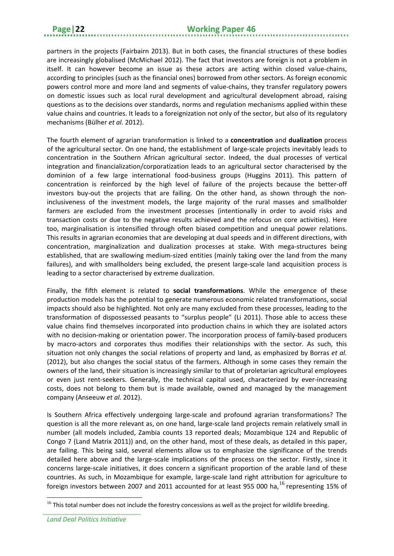partners in the projects [\(Fairbairn 2013\)](#page-29-18). But in both cases, the financial structures of these bodies are increasingly globalised [\(McMichael 2012\)](#page-30-17). The fact that investors are foreign is not a problem in itself. It can however become an issue as these actors are acting within closed value-chains, according to principles (such as the financial ones) borrowed from other sectors. As foreign economic powers control more and more land and segments of value-chains, they transfer regulatory powers on domestic issues such as local rural development and agricultural development abroad, raising questions as to the decisions over standards, norms and regulation mechanisms applied within these value chains and countries. It leads to a foreignization not only of the sector, but also of its regulatory mechanisms [\(Bülher](#page-29-19) *et al.* 2012).

The fourth element of agrarian transformation is linked to a **concentration** and **dualization** process of the agricultural sector. On one hand, the establishment of large-scale projects inevitably leads to concentration in the Southern African agricultural sector. Indeed, the dual processes of vertical integration and financialization/corporatization leads to an agricultural sector characterised by the dominion of a few large international food-business groups [\(Huggins 2011\)](#page-30-18). This pattern of concentration is reinforced by the high level of failure of the projects because the better-off investors buy-out the projects that are failing. On the other hand, as shown through the noninclusiveness of the investment models, the large majority of the rural masses and smallholder farmers are excluded from the investment processes (intentionally in order to avoid risks and transaction costs or due to the negative results achieved and the refocus on core activities). Here too, marginalisation is intensified through often biased competition and unequal power relations. This results in agrarian economies that are developing at dual speeds and in different directions, with concentration, marginalization and dualization processes at stake. With mega-structures being established, that are swallowing medium-sized entities (mainly taking over the land from the many failures), and with smallholders being excluded, the present large-scale land acquisition process is leading to a sector characterised by extreme dualization.

Finally, the fifth element is related to **social transformations**. While the emergence of these production models has the potential to generate numerous economic related transformations, social impacts should also be highlighted. Not only are many excluded from these processes, leading to the transformation of dispossessed peasants to "surplus people" [\(Li 2011\)](#page-30-19). Those able to access these value chains find themselves incorporated into production chains in which they are isolated actors with no decision-making or orientation power. The incorporation process of family-based producers by macro-actors and corporates thus modifies their relationships with the sector. As such, this situation not only changes the social relations of property and land, as emphasized by [Borras](#page-28-2) *et al.* [\(2012\)](#page-28-2), but also changes the social status of the farmers. Although in some cases they remain the owners of the land, their situation is increasingly similar to that of proletarian agricultural employees or even just rent-seekers. Generally, the technical capital used, characterized by ever-increasing costs, does not belong to them but is made available, owned and managed by the management company [\(Anseeuw](#page-28-3) *et al.* 2012).

Is Southern Africa effectively undergoing large-scale and profound agrarian transformations? The question is all the more relevant as, on one hand, large-scale land projects remain relatively small in number (all models included, Zambia counts 13 reported deals; Mozambique 124 and Republic of Congo 7 [\(Land Matrix 2011\)](#page-30-20)) and, on the other hand, most of these deals, as detailed in this paper, are failing. This being said, several elements allow us to emphasize the significance of the trends detailed here above and the large-scale implications of the process on the sector. Firstly, since it concerns large-scale initiatives, it does concern a significant proportion of the arable land of these countries. As such, in Mozambique for example, large-scale land right attribution for agriculture to foreign investors between 2007 and 2011 accounted for at least 955 000 ha, <sup>[16](#page-27-0)</sup> representing 15% of

<span id="page-27-0"></span> $16$  This total number does not include the forestry concessions as well as the project for wildlife breeding.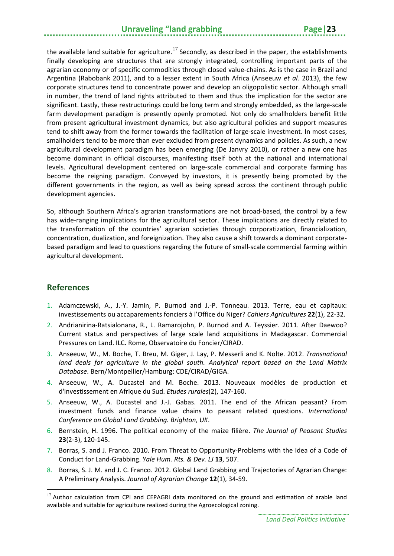## **Unraveling "land grabbing The Page | 23**

the available land suitable for agriculture.<sup>[17](#page-28-9)</sup> Secondly, as described in the paper, the establishments finally developing are structures that are strongly integrated, controlling important parts of the agrarian economy or of specific commodities through closed value-chains. As is the case in Brazil and Argentina [\(Rabobank 2011\)](#page-30-13), and to a lesser extent in South Africa [\(Anseeuw](#page-28-8) *et al.* 2013), the few corporate structures tend to concentrate power and develop an oligopolistic sector. Although small in number, the trend of land rights attributed to them and thus the implication for the sector are significant. Lastly, these restructurings could be long term and strongly embedded, as the large-scale farm development paradigm is presently openly promoted. Not only do smallholders benefit little from present agricultural investment dynamics, but also agricultural policies and support measures tend to shift away from the former towards the facilitation of large-scale investment. In most cases, smallholders tend to be more than ever excluded from present dynamics and policies. As such, a new agricultural development paradigm has been emerging [\(De Janvry 2010\)](#page-29-20), or rather a new one has become dominant in official discourses, manifesting itself both at the national and international levels. Agricultural development centered on large-scale commercial and corporate farming has become the reigning paradigm. Conveyed by investors, it is presently being promoted by the different governments in the region, as well as being spread across the continent through public development agencies.

So, although Southern Africa's agrarian transformations are not broad-based, the control by a few has wide-ranging implications for the agricultural sector. These implications are directly related to the transformation of the countries' agrarian societies through corporatization, financialization, concentration, dualization, and foreignization. They also cause a shift towards a dominant corporatebased paradigm and lead to questions regarding the future of small-scale commercial farming within agricultural development.

## <span id="page-28-0"></span>**References**

- <span id="page-28-6"></span>1. Adamczewski, A., J.-Y. Jamin, P. Burnod and J.-P. Tonneau. 2013. Terre, eau et capitaux: investissements ou accaparements fonciers à l'Office du Niger? *Cahiers Agricultures* **22**(1), 22-32.
- <span id="page-28-4"></span>2. Andrianirina-Ratsialonana, R., L. Ramarojohn, P. Burnod and A. Teyssier. 2011. After Daewoo? Current status and perspectives of large scale land acquisitions in Madagascar. Commercial Pressures on Land. ILC. Rome, Observatoire du Foncier/CIRAD.
- <span id="page-28-3"></span>3. Anseeuw, W., M. Boche, T. Breu, M. Giger, J. Lay, P. Messerli and K. Nolte. 2012. *Transnational land deals for agriculture in the global south. Analytical report based on the Land Matrix Database*. Bern/Montpellier/Hamburg: CDE/CIRAD/GIGA.
- <span id="page-28-8"></span>4. Anseeuw, W., A. Ducastel and M. Boche. 2013. Nouveaux modèles de production et d'investissement en Afrique du Sud. *Etudes rurales*(2), 147-160.
- <span id="page-28-5"></span>5. Anseeuw, W., A. Ducastel and J.-J. Gabas. 2011. The end of the African peasant? From investment funds and finance value chains to peasant related questions. *International Conference on Global Land Grabbing. Brighton, UK*.
- <span id="page-28-7"></span>6. Bernstein, H. 1996. The political economy of the maize filière. *The Journal of Peasant Studies* **23**(2-3), 120-145.
- <span id="page-28-1"></span>7. Borras, S. and J. Franco. 2010. From Threat to Opportunity-Problems with the Idea of a Code of Conduct for Land-Grabbing. *Yale Hum. Rts. & Dev. LJ* **13**, 507.
- <span id="page-28-2"></span>8. Borras, S. J. M. and J. C. Franco. 2012. Global Land Grabbing and Trajectories of Agrarian Change: A Preliminary Analysis. *Journal of Agrarian Change* **12**(1), 34-59.

<span id="page-28-9"></span> $17$  Author calculation from CPI and CEPAGRI data monitored on the ground and estimation of arable land available and suitable for agriculture realized during the Agroecological zoning.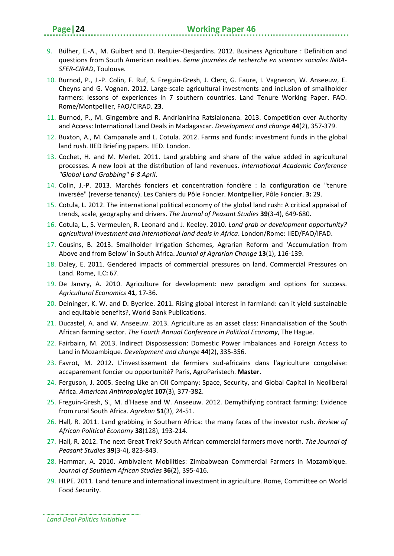- <span id="page-29-19"></span>9. Bülher, E.-A., M. Guibert and D. Requier-Desjardins. 2012. Business Agriculture : Definition and questions from South American realities. *6eme journées de recherche en sciences sociales INRA-SFER-CIRAD*, Toulouse.
- <span id="page-29-10"></span>10. Burnod, P., J.-P. Colin, F. Ruf, S. Freguin-Gresh, J. Clerc, G. Faure, I. Vagneron, W. Anseeuw, E. Cheyns and G. Vognan. 2012. Large-scale agricultural investments and inclusion of smallholder farmers: lessons of experiences in 7 southern countries. Land Tenure Working Paper. FAO. Rome/Montpellier, FAO/CIRAD. **23**.
- <span id="page-29-3"></span>11. Burnod, P., M. Gingembre and R. Andrianirina Ratsialonana. 2013. Competition over Authority and Access: International Land Deals in Madagascar. *Development and change* **44**(2), 357-379.
- <span id="page-29-4"></span>12. Buxton, A., M. Campanale and L. Cotula. 2012. Farms and funds: investment funds in the global land rush. IIED Briefing papers. IIED. London.
- <span id="page-29-1"></span>13. Cochet, H. and M. Merlet. 2011. Land grabbing and share of the value added in agricultural processes. A new look at the distribution of land revenues. *International Academic Conference "Global Land Grabbing" 6-8 April*.
- <span id="page-29-11"></span>14. Colin, J.-P. 2013. Marchés fonciers et concentration foncière : la configuration de "tenure inversée" (reverse tenancy). Les Cahiers du Pôle Foncier. Montpellier, Pôle Foncier. **3:** 29.
- <span id="page-29-2"></span>15. Cotula, L. 2012. The international political economy of the global land rush: A critical appraisal of trends, scale, geography and drivers. *The Journal of Peasant Studies* **39**(3-4), 649-680.
- <span id="page-29-9"></span>16. Cotula, L., S. Vermeulen, R. Leonard and J. Keeley. 2010. *Land grab or development opportunity? agricultural investment and international land deals in Africa*. London/Rome: IIED/FAO/IFAD.
- <span id="page-29-13"></span>17. Cousins, B. 2013. Smallholder Irrigation Schemes, Agrarian Reform and 'Accumulation from Above and from Below' in South Africa. *Journal of Agrarian Change* **13**(1), 116-139.
- <span id="page-29-16"></span>18. Daley, E. 2011. Gendered impacts of commercial pressures on land. Commercial Pressures on Land. Rome, ILC**:** 67.
- <span id="page-29-20"></span>19. De Janvry, A. 2010. Agriculture for development: new paradigm and options for success. *Agricultural Economics* **41**, 17-36.
- <span id="page-29-0"></span>20. Deininger, K. W. and D. Byerlee. 2011. Rising global interest in farmland: can it yield sustainable and equitable benefits?, World Bank Publications.
- <span id="page-29-5"></span>21. Ducastel, A. and W. Anseeuw. 2013. Agriculture as an asset class: Financialisation of the South African farming sector. *The Fourth Annual Conference in Political Economy*, The Hague.
- <span id="page-29-18"></span>22. Fairbairn, M. 2013. Indirect Dispossession: Domestic Power Imbalances and Foreign Access to Land in Mozambique. *Development and change* **44**(2), 335-356.
- <span id="page-29-7"></span>23. Favrot, M. 2012. L'investissement de fermiers sud-africains dans l'agriculture congolaise: accaparement foncier ou opportunité? Paris, AgroParistech. **Master**.
- <span id="page-29-14"></span>24. Ferguson, J. 2005. Seeing Like an Oil Company: Space, Security, and Global Capital in Neoliberal Africa. *American Anthropologist* **107**(3), 377-382.
- <span id="page-29-12"></span>25. Freguin-Gresh, S., M. d'Haese and W. Anseeuw. 2012. Demythifying contract farming: Evidence from rural South Africa. *Agrekon* **51**(3), 24-51.
- <span id="page-29-15"></span>26. Hall, R. 2011. Land grabbing in Southern Africa: the many faces of the investor rush. *Review of African Political Economy* **38**(128), 193-214.
- <span id="page-29-8"></span>27. Hall, R. 2012. The next Great Trek? South African commercial farmers move north. *The Journal of Peasant Studies* **39**(3-4), 823-843.
- <span id="page-29-6"></span>28. Hammar, A. 2010. Ambivalent Mobilities: Zimbabwean Commercial Farmers in Mozambique. *Journal of Southern African Studies* **36**(2), 395-416.
- <span id="page-29-17"></span>29. HLPE. 2011. Land tenure and international investment in agriculture. Rome, Committee on World Food Security.

*Land Deal Politics Initiative*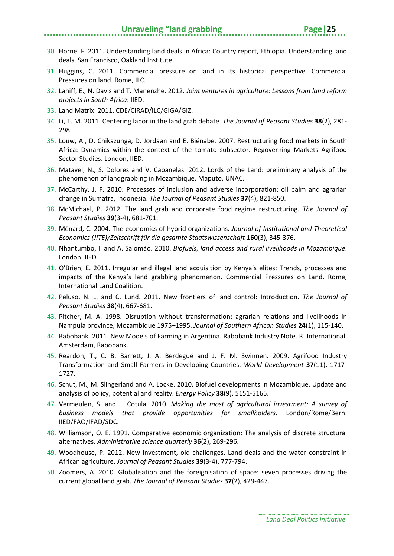- <span id="page-30-16"></span>30. Horne, F. 2011. Understanding land deals in Africa: Country report, Ethiopia. Understanding land deals. San Francisco, Oakland Institute.
- <span id="page-30-18"></span>31. Huggins, C. 2011. Commercial pressure on land in its historical perspective. Commercial Pressures on land. Rome, ILC.
- <span id="page-30-10"></span>32. Lahiff, E., N. Davis and T. Manenzhe. 2012. *Joint ventures in agriculture: Lessons from land reform projects in South Africa*: IIED.
- <span id="page-30-20"></span>33. Land Matrix. 2011. CDE/CIRAD/ILC/GIGA/GIZ.
- <span id="page-30-19"></span>34. Li, T. M. 2011. Centering labor in the land grab debate. *The Journal of Peasant Studies* **38**(2), 281- 298.
- <span id="page-30-12"></span>35. Louw, A., D. Chikazunga, D. Jordaan and E. Biénabe. 2007. Restructuring food markets in South Africa: Dynamics within the context of the tomato subsector. Regoverning Markets Agrifood Sector Studies. London, IIED.
- <span id="page-30-15"></span>36. Matavel, N., S. Dolores and V. Cabanelas. 2012. Lords of the Land: preliminary analysis of the phenomenon of landgrabbing in Mozambique. Maputo, UNAC.
- <span id="page-30-2"></span>37. McCarthy, J. F. 2010. Processes of inclusion and adverse incorporation: oil palm and agrarian change in Sumatra, Indonesia. *The Journal of Peasant Studies* **37**(4), 821-850.
- <span id="page-30-17"></span>38. McMichael, P. 2012. The land grab and corporate food regime restructuring. *The Journal of Peasant Studies* **39**(3-4), 681-701.
- <span id="page-30-8"></span>39. Ménard, C. 2004. The economics of hybrid organizations. *Journal of Institutional and Theoretical Economics (JITE)/Zeitschrift für die gesamte Staatswissenschaft* **160**(3), 345-376.
- <span id="page-30-3"></span>40. Nhantumbo, I. and A. Salomão. 2010. *Biofuels, land access and rural livelihoods in Mozambique*. London: IIED.
- <span id="page-30-6"></span>41. O'Brien, E. 2011. Irregular and illegal land acquisition by Kenya's elites: Trends, processes and impacts of the Kenya's land grabbing phenomenon. Commercial Pressures on Land. Rome, International Land Coalition.
- <span id="page-30-4"></span>42. Peluso, N. L. and C. Lund. 2011. New frontiers of land control: Introduction. *The Journal of Peasant Studies* **38**(4), 667-681.
- <span id="page-30-11"></span>43. Pitcher, M. A. 1998. Disruption without transformation: agrarian relations and livelihoods in Nampula province, Mozambique 1975–1995. *Journal of Southern African Studies* **24**(1), 115-140.
- <span id="page-30-13"></span>44. Rabobank. 2011. New Models of Farming in Argentina. Rabobank Industry Note. R. International. Amsterdam, Rabobank.
- <span id="page-30-14"></span>45. Reardon, T., C. B. Barrett, J. A. Berdegué and J. F. M. Swinnen. 2009. Agrifood Industry Transformation and Small Farmers in Developing Countries. *World Development* **37**(11), 1717- 1727.
- <span id="page-30-9"></span>46. Schut, M., M. Slingerland and A. Locke. 2010. Biofuel developments in Mozambique. Update and analysis of policy, potential and reality. *Energy Policy* **38**(9), 5151-5165.
- <span id="page-30-5"></span>47. Vermeulen, S. and L. Cotula. 2010. *Making the most of agricultural investment: A survey of business models that provide opportunities for smallholders*. London/Rome/Bern: IIED/FAO/IFAD/SDC.
- <span id="page-30-7"></span>48. Williamson, O. E. 1991. Comparative economic organization: The analysis of discrete structural alternatives. *Administrative science quarterly* **36**(2), 269-296.
- <span id="page-30-1"></span>49. Woodhouse, P. 2012. New investment, old challenges. Land deals and the water constraint in African agriculture. *Journal of Peasant Studies* **39**(3-4), 777-794.
- <span id="page-30-0"></span>50. Zoomers, A. 2010. Globalisation and the foreignisation of space: seven processes driving the current global land grab. *The Journal of Peasant Studies* **37**(2), 429-447.